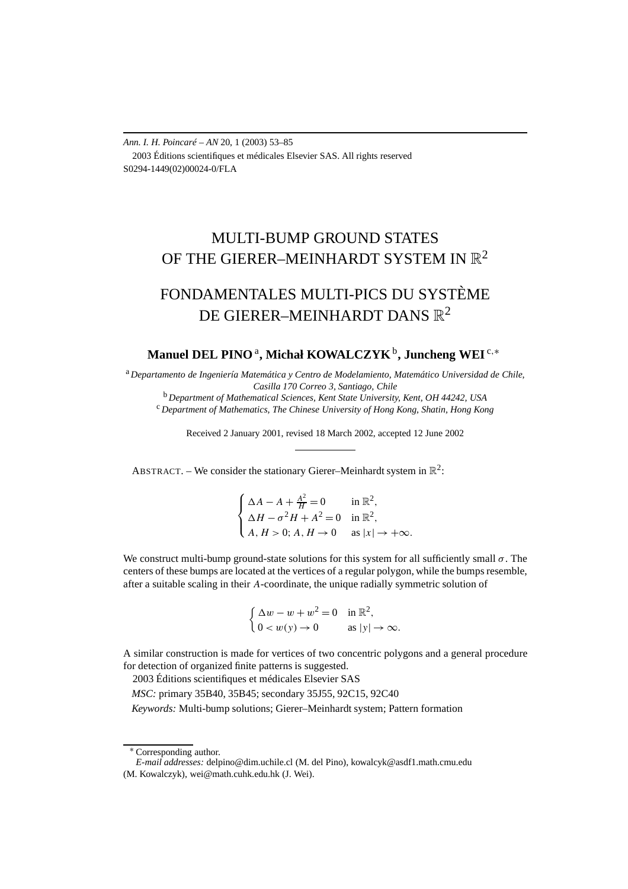*Ann. I. H. Poincaré – AN* 20, 1 (2003) 53–85 2003 Éditions scientifiques et médicales Elsevier SAS. All rights reserved S0294-1449(02)00024-0/FLA

# MULTI-BUMP GROUND STATES OF THE GIERER–MEINHARDT SYSTEM IN  $\mathbb{R}^2$

# FONDAMENTALES MULTI-PICS DU SYSTÈME DE GIERER–MEINHARDT DANS  $\mathbb{R}^2$

# **Manuel DEL PINO** <sup>a</sup> **, Michał KOWALCZYK**b**, Juncheng WEI** <sup>c</sup>*,*<sup>∗</sup>

<sup>a</sup> *Departamento de Ingeniería Matemática y Centro de Modelamiento, Matemático Universidad de Chile, Casilla 170 Correo 3, Santiago, Chile*

<sup>c</sup> Department of Mathematics, The Chinese University of Hong Kong, Shatin, Hong Kong

Received 2 January 2001, revised 18 March 2002, accepted 12 June 2002

ABSTRACT. – We consider the stationary Gierer–Meinhardt system in  $\mathbb{R}^2$ :

 $\sqrt{ }$ J  $\overline{\mathcal{L}}$  $\Delta A - A + \frac{A^2}{H} = 0$  in  $\mathbb{R}^2$ ,  $\Delta H - \sigma^2 H + A^2 = 0$  in  $\mathbb{R}^2$ ,  $A, H > 0$ ;  $A, H \rightarrow 0$  as  $|x| \rightarrow +\infty$ .

We construct multi-bump ground-state solutions for this system for all sufficiently small  $\sigma$ . The centers of these bumps are located at the vertices of a regular polygon, while the bumps resemble, after a suitable scaling in their *A*-coordinate, the unique radially symmetric solution of

$$
\begin{cases} \Delta w - w + w^2 = 0 & \text{in } \mathbb{R}^2, \\ 0 < w(y) \to 0 & \text{as } |y| \to \infty. \end{cases}
$$

A similar construction is made for vertices of two concentric polygons and a general procedure for detection of organized finite patterns is suggested.

2003 Éditions scientifiques et médicales Elsevier SAS

*MSC:* primary 35B40, 35B45; secondary 35J55, 92C15, 92C40

*Keywords:* Multi-bump solutions; Gierer–Meinhardt system; Pattern formation

<sup>∗</sup> Corresponding author.

*E-mail addresses:* delpino@dim.uchile.cl (M. del Pino), kowalcyk@asdf1.math.cmu.edu (M. Kowalczyk), wei@math.cuhk.edu.hk (J. Wei).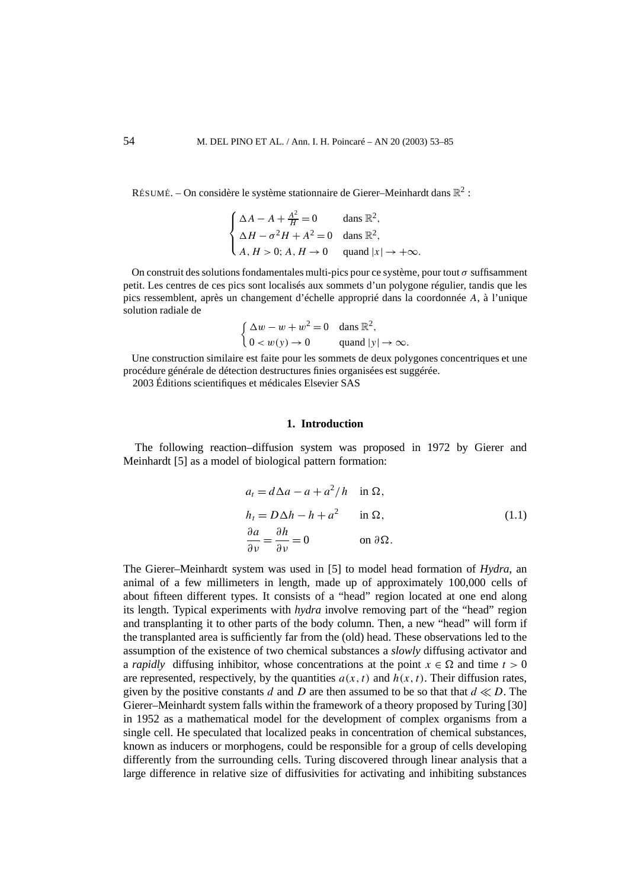RÉSUMÉ. – On considère le système stationnaire de Gierer–Meinhardt dans  $\mathbb{R}^2$ :

$$
\begin{cases} \Delta A - A + \frac{A^2}{H} = 0 & \text{dans } \mathbb{R}^2, \\ \Delta H - \sigma^2 H + A^2 = 0 & \text{dans } \mathbb{R}^2, \\ A, H > 0; A, H \to 0 & \text{quad } |x| \to +\infty. \end{cases}
$$

On construit des solutions fondamentales multi-pics pour ce système, pour tout *σ* suffisamment petit. Les centres de ces pics sont localisés aux sommets d'un polygone régulier, tandis que les pics ressemblent, après un changement d'échelle approprié dans la coordonnée *A*, à l'unique solution radiale de

$$
\begin{cases} \Delta w - w + w^2 = 0 & \text{dans } \mathbb{R}^2, \\ 0 < w(y) \to 0 & \text{quad } |y| \to \infty. \end{cases}
$$

Une construction similaire est faite pour les sommets de deux polygones concentriques et une procédure générale de détection destructures finies organisées est suggérée. 2003 Éditions scientifiques et médicales Elsevier SAS

#### **1. Introduction**

The following reaction–diffusion system was proposed in 1972 by Gierer and Meinhardt [5] as a model of biological pattern formation:

$$
a_t = d\Delta a - a + a^2/h \quad \text{in } \Omega,
$$
  
\n
$$
h_t = D\Delta h - h + a^2 \quad \text{in } \Omega,
$$
  
\n
$$
\frac{\partial a}{\partial \nu} = \frac{\partial h}{\partial \nu} = 0 \quad \text{on } \partial \Omega.
$$
  
\n(1.1)

The Gierer–Meinhardt system was used in [5] to model head formation of *Hydra*, an animal of a few millimeters in length, made up of approximately 100,000 cells of about fifteen different types. It consists of a "head" region located at one end along its length. Typical experiments with *hydra* involve removing part of the "head" region and transplanting it to other parts of the body column. Then, a new "head" will form if the transplanted area is sufficiently far from the (old) head. These observations led to the assumption of the existence of two chemical substances a *slowly* diffusing activator and a *rapidly* diffusing inhibitor, whose concentrations at the point  $x \in \Omega$  and time  $t > 0$ are represented, respectively, by the quantities  $a(x, t)$  and  $h(x, t)$ . Their diffusion rates, given by the positive constants  $d$  and  $D$  are then assumed to be so that that  $d \ll D$ . The Gierer–Meinhardt system falls within the framework of a theory proposed by Turing [30] in 1952 as a mathematical model for the development of complex organisms from a single cell. He speculated that localized peaks in concentration of chemical substances, known as inducers or morphogens, could be responsible for a group of cells developing differently from the surrounding cells. Turing discovered through linear analysis that a large difference in relative size of diffusivities for activating and inhibiting substances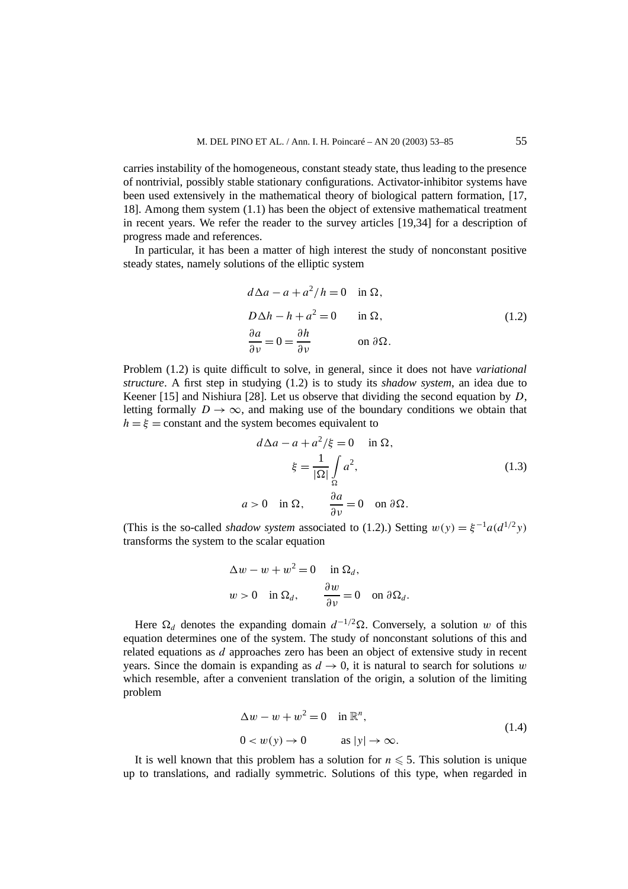carries instability of the homogeneous, constant steady state, thus leading to the presence of nontrivial, possibly stable stationary configurations. Activator-inhibitor systems have been used extensively in the mathematical theory of biological pattern formation, [17, 18]. Among them system (1.1) has been the object of extensive mathematical treatment in recent years. We refer the reader to the survey articles [19,34] for a description of progress made and references.

In particular, it has been a matter of high interest the study of nonconstant positive steady states, namely solutions of the elliptic system

$$
d\Delta a - a + a^2/h = 0 \quad \text{in } \Omega,
$$
  
\n
$$
D\Delta h - h + a^2 = 0 \quad \text{in } \Omega,
$$
  
\n
$$
\frac{\partial a}{\partial v} = 0 = \frac{\partial h}{\partial v} \quad \text{on } \partial \Omega.
$$
  
\n(1.2)

Problem (1.2) is quite difficult to solve, in general, since it does not have *variational structure*. A first step in studying (1.2) is to study its *shadow system*, an idea due to Keener [15] and Nishiura [28]. Let us observe that dividing the second equation by *D*, letting formally  $D \to \infty$ , and making use of the boundary conditions we obtain that  $h = \xi$  = constant and the system becomes equivalent to

$$
d\Delta a - a + a^2/\xi = 0 \quad \text{in } \Omega,
$$
  

$$
\xi = \frac{1}{|\Omega|} \int_{\Omega} a^2,
$$
  

$$
a > 0 \quad \text{in } \Omega, \qquad \frac{\partial a}{\partial \nu} = 0 \quad \text{on } \partial \Omega.
$$
 (1.3)

(This is the so-called *shadow system* associated to (1.2).) Setting  $w(y) = \xi^{-1}a(d^{1/2}y)$ transforms the system to the scalar equation

$$
\Delta w - w + w^2 = 0 \quad \text{in } \Omega_d,
$$
  

$$
w > 0 \quad \text{in } \Omega_d, \qquad \frac{\partial w}{\partial v} = 0 \quad \text{on } \partial \Omega_d.
$$

Here  $\Omega_d$  denotes the expanding domain  $d^{-1/2}\Omega$ . Conversely, a solution *w* of this equation determines one of the system. The study of nonconstant solutions of this and related equations as *d* approaches zero has been an object of extensive study in recent years. Since the domain is expanding as  $d \to 0$ , it is natural to search for solutions *w* which resemble, after a convenient translation of the origin, a solution of the limiting problem

$$
\Delta w - w + w^2 = 0 \quad \text{in } \mathbb{R}^n,
$$
  
0 < w(y) \to 0 \qquad \text{as } |y| \to \infty. (1.4)

It is well known that this problem has a solution for  $n \leq 5$ . This solution is unique up to translations, and radially symmetric. Solutions of this type, when regarded in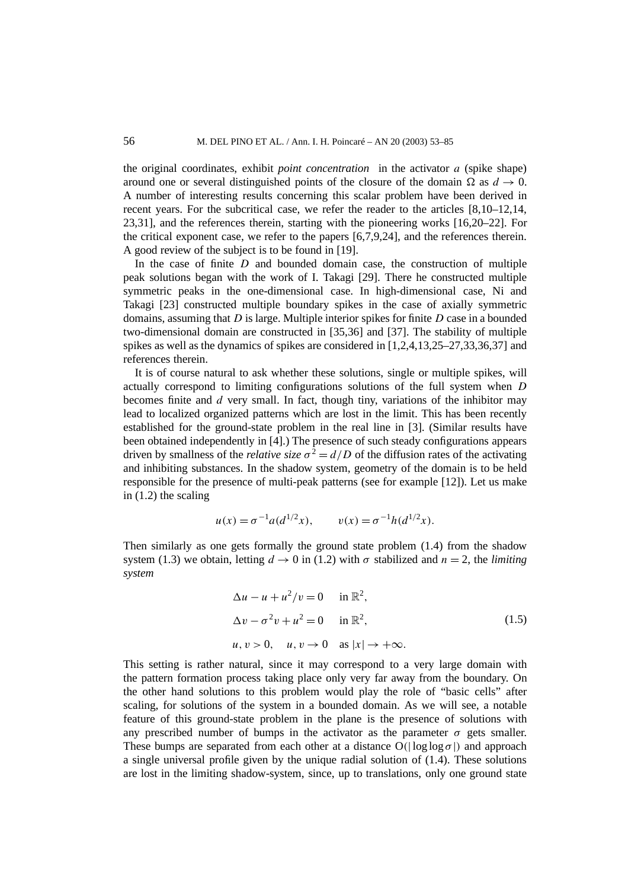the original coordinates, exhibit *point concentration* in the activator *a* (spike shape) around one or several distinguished points of the closure of the domain  $\Omega$  as  $d \to 0$ . A number of interesting results concerning this scalar problem have been derived in recent years. For the subcritical case, we refer the reader to the articles [8,10–12,14, 23,31], and the references therein, starting with the pioneering works [16,20–22]. For the critical exponent case, we refer to the papers [6,7,9,24], and the references therein. A good review of the subject is to be found in [19].

In the case of finite  $D$  and bounded domain case, the construction of multiple peak solutions began with the work of I. Takagi [29]. There he constructed multiple symmetric peaks in the one-dimensional case. In high-dimensional case, Ni and Takagi [23] constructed multiple boundary spikes in the case of axially symmetric domains, assuming that *D* is large. Multiple interior spikes for finite *D* case in a bounded two-dimensional domain are constructed in [35,36] and [37]. The stability of multiple spikes as well as the dynamics of spikes are considered in [1,2,4,13,25–27,33,36,37] and references therein.

It is of course natural to ask whether these solutions, single or multiple spikes, will actually correspond to limiting configurations solutions of the full system when *D* becomes finite and *d* very small. In fact, though tiny, variations of the inhibitor may lead to localized organized patterns which are lost in the limit. This has been recently established for the ground-state problem in the real line in [3]. (Similar results have been obtained independently in [4].) The presence of such steady configurations appears driven by smallness of the *relative size*  $\sigma^2 = d/D$  of the diffusion rates of the activating and inhibiting substances. In the shadow system, geometry of the domain is to be held responsible for the presence of multi-peak patterns (see for example [12]). Let us make in (1.2) the scaling

$$
u(x) = \sigma^{-1} a(d^{1/2}x),
$$
  $v(x) = \sigma^{-1} h(d^{1/2}x).$ 

Then similarly as one gets formally the ground state problem (1.4) from the shadow system (1.3) we obtain, letting  $d \to 0$  in (1.2) with  $\sigma$  stabilized and  $n = 2$ , the *limiting system*

$$
\Delta u - u + u^2/v = 0 \quad \text{in } \mathbb{R}^2,
$$
  
\n
$$
\Delta v - \sigma^2 v + u^2 = 0 \quad \text{in } \mathbb{R}^2,
$$
  
\n
$$
u, v > 0, \quad u, v \to 0 \quad \text{as } |x| \to +\infty.
$$
\n(1.5)

This setting is rather natural, since it may correspond to a very large domain with the pattern formation process taking place only very far away from the boundary. On the other hand solutions to this problem would play the role of "basic cells" after scaling, for solutions of the system in a bounded domain. As we will see, a notable feature of this ground-state problem in the plane is the presence of solutions with any prescribed number of bumps in the activator as the parameter  $\sigma$  gets smaller. These bumps are separated from each other at a distance  $O(|\log \log \sigma|)$  and approach a single universal profile given by the unique radial solution of (1.4). These solutions are lost in the limiting shadow-system, since, up to translations, only one ground state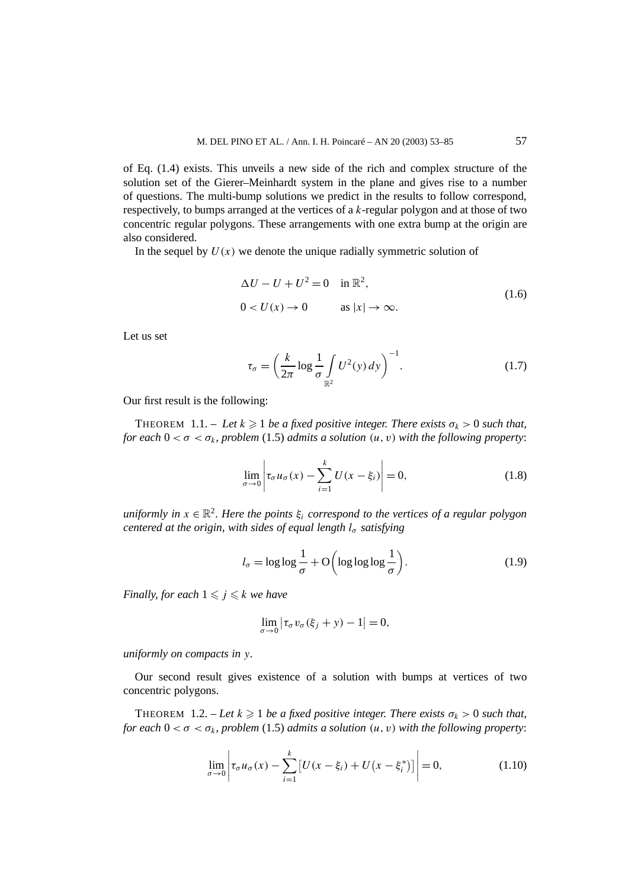of Eq. (1.4) exists. This unveils a new side of the rich and complex structure of the solution set of the Gierer–Meinhardt system in the plane and gives rise to a number of questions. The multi-bump solutions we predict in the results to follow correspond, respectively, to bumps arranged at the vertices of a *k*-regular polygon and at those of two concentric regular polygons. These arrangements with one extra bump at the origin are also considered.

In the sequel by  $U(x)$  we denote the unique radially symmetric solution of

$$
\Delta U - U + U^2 = 0 \quad \text{in } \mathbb{R}^2,
$$
  
 
$$
0 < U(x) \to 0 \qquad \text{as } |x| \to \infty.
$$
 (1.6)

Let us set

$$
\tau_{\sigma} = \left(\frac{k}{2\pi} \log \frac{1}{\sigma} \int\limits_{\mathbb{R}^2} U^2(y) \, dy\right)^{-1}.\tag{1.7}
$$

Our first result is the following:

**THEOREM** 1.1. – Let  $k \geqslant 1$  be a fixed positive integer. There exists  $\sigma_k > 0$  such that, *for each*  $0 < \sigma < \sigma_k$ *, problem* (1.5) *admits a solution*  $(u, v)$  *with the following property:* 

$$
\lim_{\sigma \to 0} \left| \tau_{\sigma} u_{\sigma}(x) - \sum_{i=1}^{k} U(x - \xi_i) \right| = 0, \tag{1.8}
$$

*uniformly in*  $x \in \mathbb{R}^2$ . Here the points  $\xi_i$  correspond to the vertices of a regular polygon *centered at the origin, with sides of equal length l<sub>σ</sub> satisfying* 

$$
l_{\sigma} = \log \log \frac{1}{\sigma} + \mathcal{O}\left(\log \log \log \frac{1}{\sigma}\right). \tag{1.9}
$$

*Finally, for each*  $1 \leq j \leq k$  *we have* 

$$
\lim_{\sigma \to 0} |\tau_{\sigma} v_{\sigma}(\xi_j + y) - 1| = 0,
$$

*uniformly on compacts in y.*

Our second result gives existence of a solution with bumps at vertices of two concentric polygons.

**THEOREM** 1.2.  $-Let k \geqslant 1$  *be a fixed positive integer. There exists*  $\sigma_k > 0$  *such that, for each*  $0 < \sigma < \sigma_k$ *, problem* (1.5) *admits a solution*  $(u, v)$  *with the following property:* 

$$
\lim_{\sigma \to 0} \left| \tau_{\sigma} u_{\sigma}(x) - \sum_{i=1}^{k} \left[ U(x - \xi_i) + U(x - \xi_i^*) \right] \right| = 0, \tag{1.10}
$$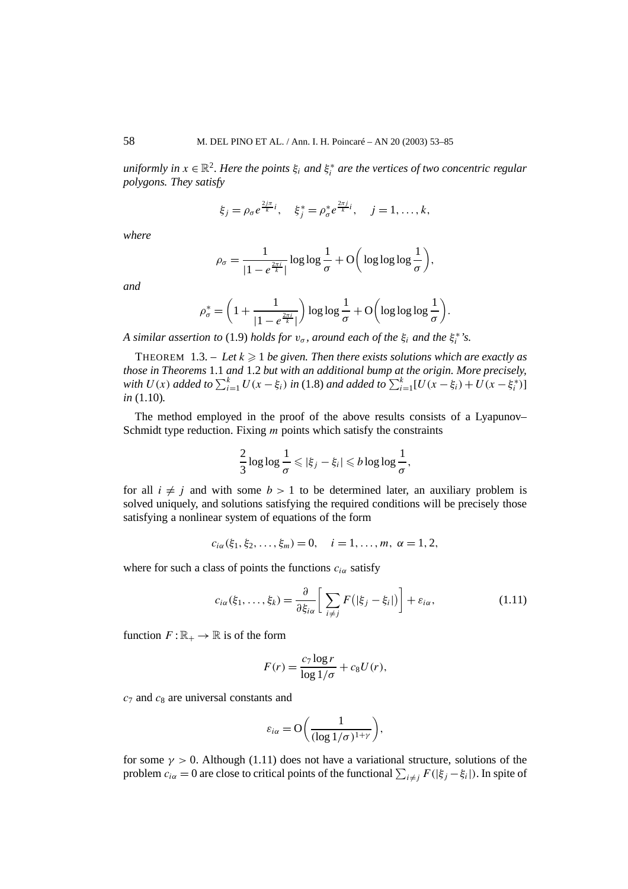$u$ *niformly in*  $x \in \mathbb{R}^2$ . Here the points  $\xi_i$  and  $\xi_i^*$  are the vertices of two concentric regular *polygons. They satisfy*

$$
\xi_j = \rho_\sigma e^{\frac{2j\pi}{k}i}, \quad \xi_j^* = \rho_\sigma^* e^{\frac{2\pi j}{k}i}, \quad j = 1, ..., k,
$$

*where*

$$
\rho_{\sigma} = \frac{1}{|1 - e^{\frac{2\pi i}{k}}|} \log \log \frac{1}{\sigma} + O\bigg(\log \log \log \frac{1}{\sigma}\bigg),\,
$$

*and*

$$
\rho_{\sigma}^* = \left(1 + \frac{1}{|1 - e^{\frac{2\pi i}{k}}|}\right) \log \log \frac{1}{\sigma} + \mathcal{O}\left(\log \log \log \frac{1}{\sigma}\right).
$$

*A* similar assertion to (1.9) holds for  $v_{\sigma}$ , around each of the  $\xi_i$  and the  $\xi_i^*$ 's.

THEOREM  $\left(1.3. - \text{Let } k \geqslant 1 \right)$  be given. Then there exists solutions which are exactly as *those in Theorems* 1.1 *and* 1.2 *but with an additional bump at the origin. More precisely, with*  $U(x)$  *added to*  $\sum_{i=1}^{k} U(x - \xi_i)$  *in* (1.8) *and added to*  $\sum_{i=1}^{k} [U(x - \xi_i) + U(x - \xi_i^*)]$ *in* (1.10)*.*

The method employed in the proof of the above results consists of a Lyapunov– Schmidt type reduction. Fixing *m* points which satisfy the constraints

$$
\frac{2}{3}\log\log\frac{1}{\sigma}\leqslant|\xi_j-\xi_i|\leqslant b\log\log\frac{1}{\sigma},
$$

for all  $i \neq j$  and with some  $b > 1$  to be determined later, an auxiliary problem is solved uniquely, and solutions satisfying the required conditions will be precisely those satisfying a nonlinear system of equations of the form

$$
c_{i\alpha}(\xi_1, \xi_2, \ldots, \xi_m) = 0, \quad i = 1, \ldots, m, \alpha = 1, 2,
$$

where for such a class of points the functions  $c_{i\alpha}$  satisfy

$$
c_{i\alpha}(\xi_1,\ldots,\xi_k)=\frac{\partial}{\partial\xi_{i\alpha}}\bigg[\sum_{i\neq j}F\big(|\xi_j-\xi_i|\big)\bigg]+\varepsilon_{i\alpha},\qquad(1.11)
$$

function  $F : \mathbb{R}_+ \to \mathbb{R}$  is of the form

$$
F(r) = \frac{c_7 \log r}{\log 1/\sigma} + c_8 U(r),
$$

*c*<sup>7</sup> and *c*<sup>8</sup> are universal constants and

$$
\varepsilon_{i\alpha} = O\bigg(\frac{1}{(\log 1/\sigma)^{1+\gamma}}\bigg),\,
$$

for some  $\gamma > 0$ . Although (1.11) does not have a variational structure, solutions of the problem  $c_{i\alpha} = 0$  are close to critical points of the functional  $\sum_{i \neq j} F(|\xi_j - \xi_i|)$ . In spite of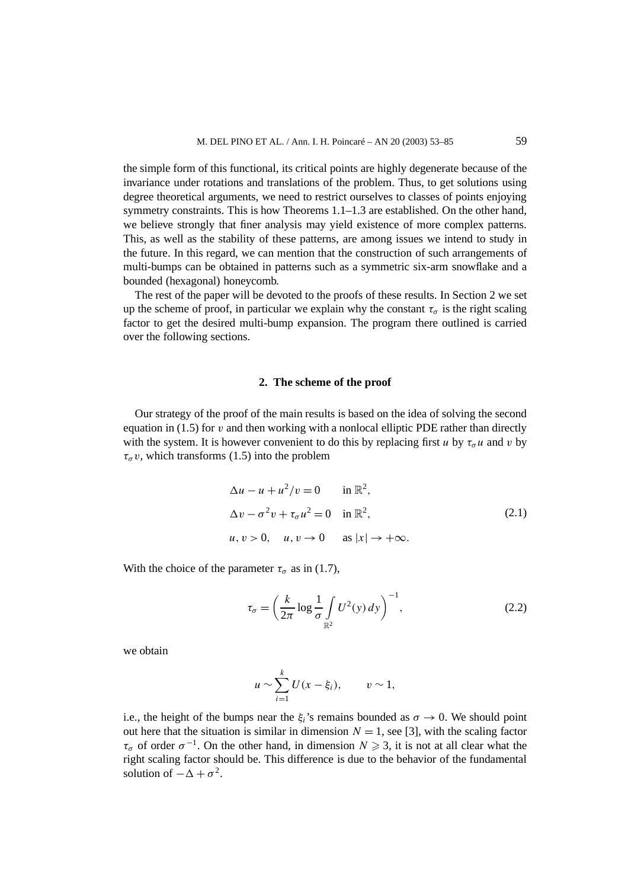the simple form of this functional, its critical points are highly degenerate because of the invariance under rotations and translations of the problem. Thus, to get solutions using degree theoretical arguments, we need to restrict ourselves to classes of points enjoying symmetry constraints. This is how Theorems 1.1–1.3 are established. On the other hand, we believe strongly that finer analysis may yield existence of more complex patterns. This, as well as the stability of these patterns, are among issues we intend to study in the future. In this regard, we can mention that the construction of such arrangements of multi-bumps can be obtained in patterns such as a symmetric six-arm snowflake and a bounded (hexagonal) honeycomb.

The rest of the paper will be devoted to the proofs of these results. In Section 2 we set up the scheme of proof, in particular we explain why the constant  $\tau_{\sigma}$  is the right scaling factor to get the desired multi-bump expansion. The program there outlined is carried over the following sections.

#### **2. The scheme of the proof**

Our strategy of the proof of the main results is based on the idea of solving the second equation in (1.5) for *v* and then working with a nonlocal elliptic PDE rather than directly with the system. It is however convenient to do this by replacing first *u* by  $\tau_q u$  and *v* by  $\tau_{\sigma} v$ , which transforms (1.5) into the problem

$$
\Delta u - u + u^2/v = 0 \quad \text{in } \mathbb{R}^2,
$$
  
\n
$$
\Delta v - \sigma^2 v + \tau_\sigma u^2 = 0 \quad \text{in } \mathbb{R}^2,
$$
  
\n
$$
u, v > 0, \quad u, v \to 0 \quad \text{as } |x| \to +\infty.
$$
\n(2.1)

With the choice of the parameter  $\tau_{\sigma}$  as in (1.7),

$$
\tau_{\sigma} = \left(\frac{k}{2\pi} \log \frac{1}{\sigma} \int\limits_{\mathbb{R}^2} U^2(y) \, dy\right)^{-1},\tag{2.2}
$$

we obtain

$$
u \sim \sum_{i=1}^k U(x-\xi_i), \qquad v \sim 1,
$$

i.e., the height of the bumps near the *ξ<sub>i</sub>*'s remains bounded as  $\sigma \to 0$ . We should point out here that the situation is similar in dimension  $N = 1$ , see [3], with the scaling factor  $\tau_{\sigma}$  of order  $\sigma^{-1}$ . On the other hand, in dimension  $N \geq 3$ , it is not at all clear what the right scaling factor should be. This difference is due to the behavior of the fundamental solution of  $-\Delta + \sigma^2$ .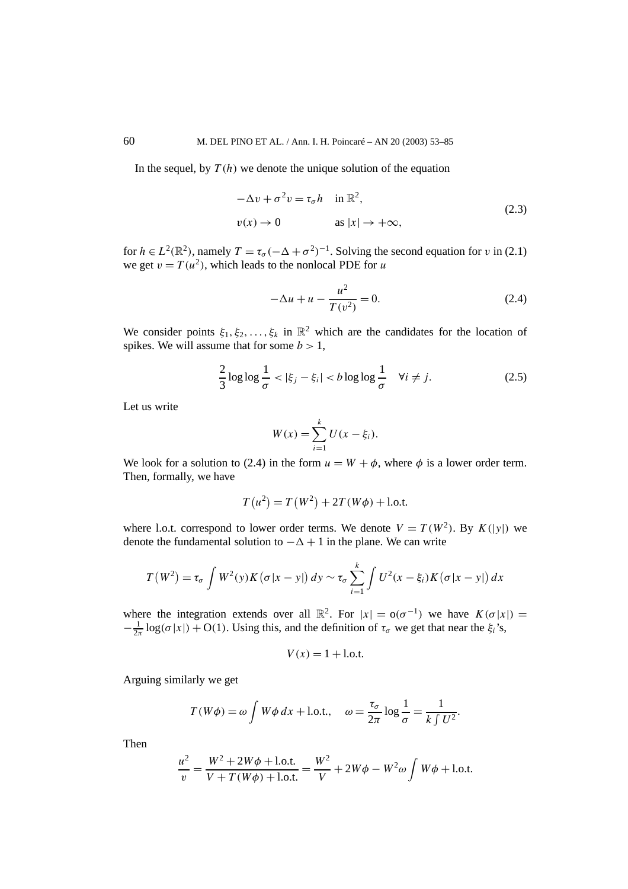In the sequel, by  $T(h)$  we denote the unique solution of the equation

$$
-\Delta v + \sigma^2 v = \tau_{\sigma} h \quad \text{in } \mathbb{R}^2,
$$
  

$$
v(x) \to 0 \qquad \text{as } |x| \to +\infty,
$$
 (2.3)

for  $h \in L^2(\mathbb{R}^2)$ , namely  $T = \tau_\sigma(-\Delta + \sigma^2)^{-1}$ . Solving the second equation for *v* in (2.1) we get  $v = T(u^2)$ , which leads to the nonlocal PDE for *u* 

$$
-\Delta u + u - \frac{u^2}{T(v^2)} = 0.
$$
 (2.4)

We consider points  $\xi_1, \xi_2, \ldots, \xi_k$  in  $\mathbb{R}^2$  which are the candidates for the location of spikes. We will assume that for some  $b > 1$ ,

$$
\frac{2}{3}\log\log\frac{1}{\sigma} < |\xi_j - \xi_i| < b\log\log\frac{1}{\sigma} \quad \forall i \neq j. \tag{2.5}
$$

Let us write

$$
W(x) = \sum_{i=1}^{k} U(x - \xi_i).
$$

We look for a solution to (2.4) in the form  $u = W + \phi$ , where  $\phi$  is a lower order term. Then, formally, we have

$$
T(u^{2}) = T(W^{2}) + 2T(W\phi) + 1
$$
o.t.

where l.o.t. correspond to lower order terms. We denote  $V = T(W^2)$ . By  $K(|y|)$  we denote the fundamental solution to  $-\Delta + 1$  in the plane. We can write

$$
T(W^2) = \tau_{\sigma} \int W^2(y) K(\sigma |x - y|) dy \sim \tau_{\sigma} \sum_{i=1}^k \int U^2(x - \xi_i) K(\sigma |x - y|) dx
$$

where the integration extends over all  $\mathbb{R}^2$ . For  $|x| = o(\sigma^{-1})$  we have  $K(\sigma|x|) =$  $-\frac{1}{2\pi}$  log( $\sigma |x|$ ) + O(1). Using this, and the definition of  $\tau_{\sigma}$  we get that near the  $\xi_i$ 's,

$$
V(x) = 1 + 1.0
$$

Arguing similarly we get

$$
T(W\phi) = \omega \int W\phi \, dx + \text{l.o.t.,} \quad \omega = \frac{\tau_{\sigma}}{2\pi} \log \frac{1}{\sigma} = \frac{1}{k \int U^2}.
$$

Then

$$
\frac{u^2}{v} = \frac{W^2 + 2W\phi + 1.0 \text{.t.}}{V + T(W\phi) + 1.0 \text{.t.}} = \frac{W^2}{V} + 2W\phi - W^2\omega \int W\phi + 1.0 \text{.t.}
$$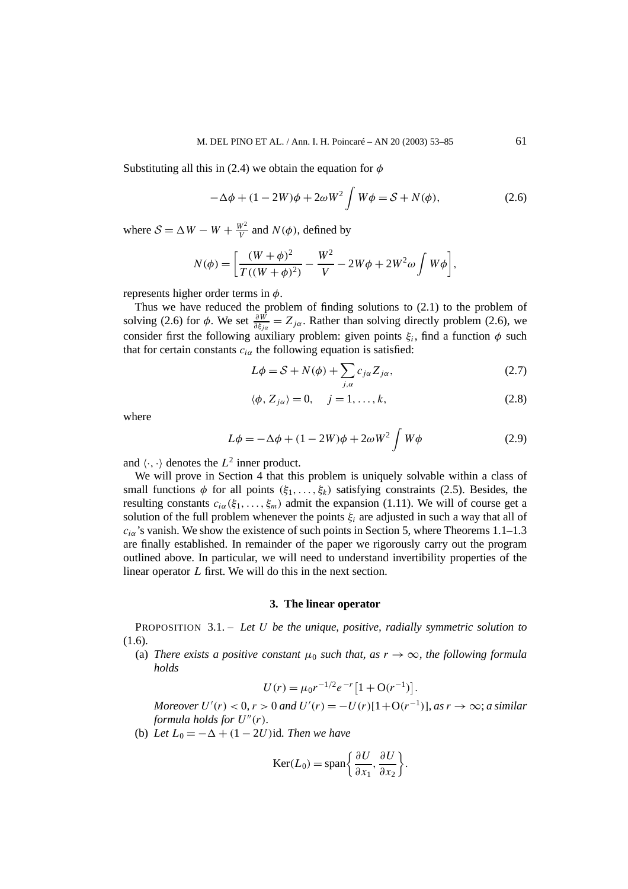Substituting all this in (2.4) we obtain the equation for *φ*

$$
-\Delta\phi + (1 - 2W)\phi + 2\omega W^2 \int W\phi = S + N(\phi), \qquad (2.6)
$$

where  $S = \Delta W - W + \frac{W^2}{V}$  and  $N(\phi)$ , defined by

$$
N(\phi) = \left[ \frac{(W + \phi)^2}{T((W + \phi)^2)} - \frac{W^2}{V} - 2W\phi + 2W^2\omega \int W\phi \right],
$$

represents higher order terms in *φ*.

Thus we have reduced the problem of finding solutions to (2.1) to the problem of solving (2.6) for  $\phi$ . We set  $\frac{\partial W}{\partial \xi_{j\alpha}} = Z_{j\alpha}$ . Rather than solving directly problem (2.6), we consider first the following auxiliary problem: given points  $\xi_i$ , find a function  $\phi$  such that for certain constants  $c_{i\alpha}$  the following equation is satisfied:

$$
L\phi = S + N(\phi) + \sum_{j,\alpha} c_{j\alpha} Z_{j\alpha},\tag{2.7}
$$

$$
\langle \phi, Z_{j\alpha} \rangle = 0, \quad j = 1, \dots, k,
$$
\n(2.8)

where

$$
L\phi = -\Delta\phi + (1 - 2W)\phi + 2\omega W^2 \int W\phi \qquad (2.9)
$$

and  $\langle \cdot, \cdot \rangle$  denotes the  $L^2$  inner product.

We will prove in Section 4 that this problem is uniquely solvable within a class of small functions  $\phi$  for all points  $(\xi_1, \ldots, \xi_k)$  satisfying constraints (2.5). Besides, the resulting constants  $c_{i\alpha}(\xi_1,\ldots,\xi_m)$  admit the expansion (1.11). We will of course get a solution of the full problem whenever the points  $\xi_i$  are adjusted in such a way that all of *ciα*'s vanish. We show the existence of such points in Section 5, where Theorems 1.1–1.3 are finally established. In remainder of the paper we rigorously carry out the program outlined above. In particular, we will need to understand invertibility properties of the linear operator *L* first. We will do this in the next section.

#### **3. The linear operator**

PROPOSITION 3.1. – *Let U be the unique, positive, radially symmetric solution to* (1.6).

(a) *There exists a positive constant*  $\mu_0$  *such that, as*  $r \to \infty$ *, the following formula holds*

$$
U(r) = \mu_0 r^{-1/2} e^{-r} \left[ 1 + \mathcal{O}(r^{-1}) \right].
$$

*Moreover*  $U'(r) < 0$ ,  $r > 0$  and  $U'(r) = -U(r)[1 + O(r^{-1})]$ , as  $r \to \infty$ ; a similar *formula holds for*  $U''(r)$ *.* 

(b) *Let*  $L_0 = -\Delta + (1 - 2U)$  *id. Then we have* 

$$
Ker(L_0) = span\left\{\frac{\partial U}{\partial x_1}, \frac{\partial U}{\partial x_2}\right\}.
$$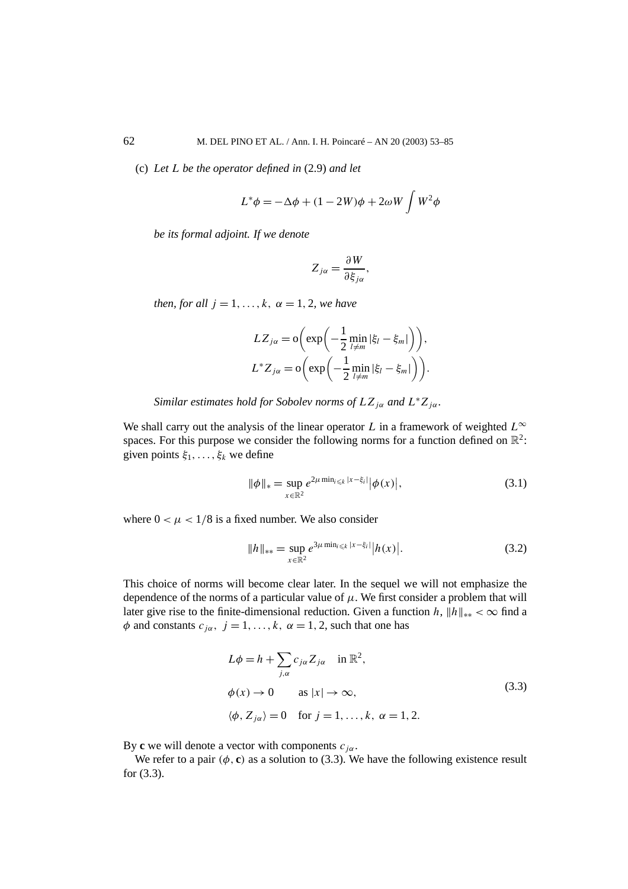(c) *Let L be the operator defined in* (2.9) *and let*

$$
L^*\phi = -\Delta\phi + (1 - 2W)\phi + 2\omega W \int W^2\phi
$$

*be its formal adjoint. If we denote*

$$
Z_{j\alpha} = \frac{\partial W}{\partial \xi_{j\alpha}},
$$

*then, for all*  $j = 1, \ldots, k, \alpha = 1, 2$ *, we have* 

$$
LZ_{j\alpha} = o\left(\exp\left(-\frac{1}{2}\min_{l \neq m} |\xi_l - \xi_m|\right)\right),
$$
  

$$
L^*Z_{j\alpha} = o\left(\exp\left(-\frac{1}{2}\min_{l \neq m} |\xi_l - \xi_m|\right)\right).
$$

*Similar estimates hold for Sobolev norms of*  $LZ_{j\alpha}$  *and*  $L^*Z_{j\alpha}$ *.* 

We shall carry out the analysis of the linear operator *L* in a framework of weighted  $L^{\infty}$ spaces. For this purpose we consider the following norms for a function defined on  $\mathbb{R}^2$ : given points  $\xi_1, \ldots, \xi_k$  we define

$$
\|\phi\|_{*} = \sup_{x \in \mathbb{R}^{2}} e^{2\mu \min_{i \leq k} |x - \xi_{i}|} |\phi(x)|,
$$
\n(3.1)

where  $0 < \mu < 1/8$  is a fixed number. We also consider

$$
||h||_{**} = \sup_{x \in \mathbb{R}^2} e^{3\mu \min_{i \le k} |x - \xi_i|} |h(x)|.
$$
 (3.2)

This choice of norms will become clear later. In the sequel we will not emphasize the dependence of the norms of a particular value of  $\mu$ . We first consider a problem that will later give rise to the finite-dimensional reduction. Given a function *h*,  $||h||_{**} < \infty$  find a  $\phi$  and constants  $c_{i\alpha}$ ,  $j = 1, ..., k$ ,  $\alpha = 1, 2$ , such that one has

$$
L\phi = h + \sum_{j,\alpha} c_{j\alpha} Z_{j\alpha} \quad \text{in } \mathbb{R}^2,
$$
  
\n
$$
\phi(x) \to 0 \qquad \text{as } |x| \to \infty,
$$
  
\n
$$
\langle \phi, Z_{j\alpha} \rangle = 0 \quad \text{for } j = 1, ..., k, \ \alpha = 1, 2.
$$
\n(3.3)

By **c** we will denote a vector with components  $c_{j\alpha}$ .

We refer to a pair  $(\phi, c)$  as a solution to (3.3). We have the following existence result for (3.3).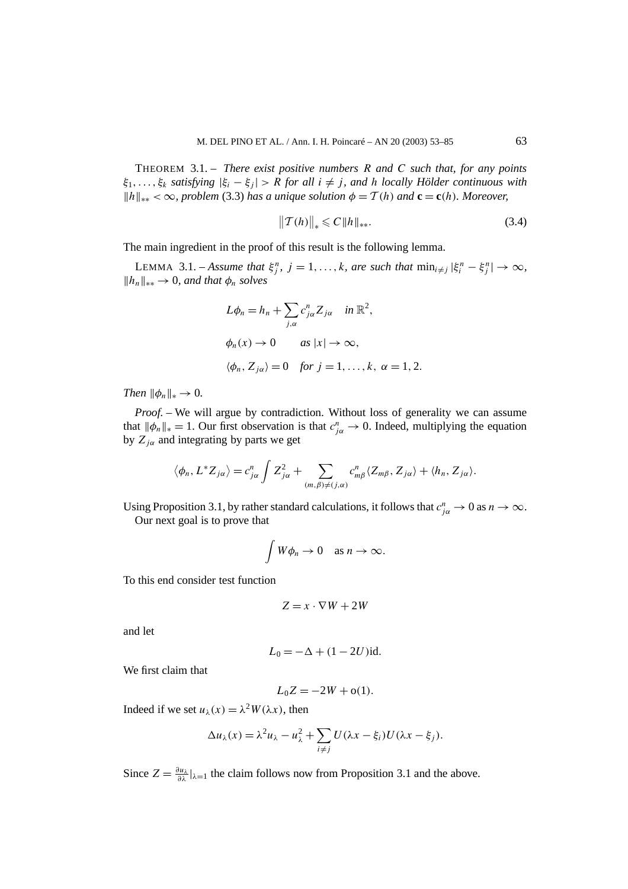THEOREM 3.1. – *There exist positive numbers R and C such that, for any points ξ*1*,...,ξk satisfying* |*ξi* − *ξj* | *> R for all i* = *j , and h locally Hölder continuous with*  $||h||_{**} < \infty$ , problem (3.3) has a unique solution  $\phi = T(h)$  and  $\mathbf{c} = \mathbf{c}(h)$ *. Moreover,* 

$$
\|T(h)\|_* \leq C \|h\|_{**}.
$$
\n(3.4)

The main ingredient in the proof of this result is the following lemma.

LEMMA 3.1. – Assume that  $\xi_j^n$ ,  $j = 1, ..., k$ , are such that  $\min_{i \neq j} |\xi_i^n - \xi_j^n| \to \infty$ ,  $||h_n||_{**}$  → 0*, and that*  $\phi_n$  *solves* 

$$
L\phi_n = h_n + \sum_{j,\alpha} c_{j\alpha}^n Z_{j\alpha} \quad \text{in } \mathbb{R}^2,
$$
  

$$
\phi_n(x) \to 0 \qquad \text{as } |x| \to \infty,
$$
  

$$
\langle \phi_n, Z_{j\alpha} \rangle = 0 \quad \text{for } j = 1, ..., k, \ \alpha = 1, 2.
$$

*Then*  $\|\phi_n\|_* \to 0$ .

*Proof. –* We will argue by contradiction. Without loss of generality we can assume that  $\|\phi_n\|_* = 1$ . Our first observation is that  $c^n_{j\alpha} \to 0$ . Indeed, multiplying the equation by  $Z_{j\alpha}$  and integrating by parts we get

$$
\langle \phi_n, L^* Z_{j\alpha} \rangle = c_{j\alpha}^n \int Z_{j\alpha}^2 + \sum_{(m,\beta) \neq (j,\alpha)} c_{m\beta}^n \langle Z_{m\beta}, Z_{j\alpha} \rangle + \langle h_n, Z_{j\alpha} \rangle.
$$

Using Proposition 3.1, by rather standard calculations, it follows that  $c^n_{j\alpha} \to 0$  as  $n \to \infty$ . Our next goal is to prove that

$$
\int W\phi_n \to 0 \quad \text{as } n \to \infty.
$$

To this end consider test function

$$
Z = x \cdot \nabla W + 2W
$$

and let

$$
L_0 = -\Delta + (1 - 2U)\mathrm{id}.
$$

We first claim that

$$
L_0 Z = -2W + o(1).
$$

Indeed if we set  $u_\lambda(x) = \lambda^2 W(\lambda x)$ , then

$$
\Delta u_{\lambda}(x) = \lambda^2 u_{\lambda} - u_{\lambda}^2 + \sum_{i \neq j} U(\lambda x - \xi_i) U(\lambda x - \xi_j).
$$

Since  $Z = \frac{\partial u_\lambda}{\partial \lambda} |_{\lambda=1}$  the claim follows now from Proposition 3.1 and the above.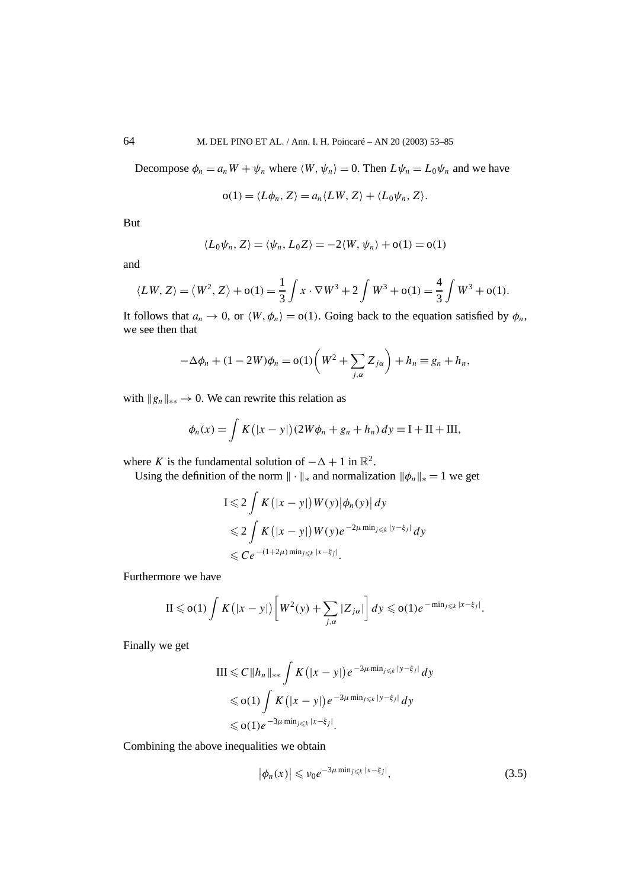Decompose  $\phi_n = a_n W + \psi_n$  where  $\langle W, \psi_n \rangle = 0$ . Then  $L \psi_n = L_0 \psi_n$  and we have

$$
o(1) = \langle L\phi_n, Z \rangle = a_n \langle LW, Z \rangle + \langle L_0\psi_n, Z \rangle.
$$

But

$$
\langle L_0 \psi_n, Z \rangle = \langle \psi_n, L_0 Z \rangle = -2 \langle W, \psi_n \rangle + o(1) = o(1)
$$

and

$$
\langle LW, Z \rangle = \langle W^2, Z \rangle + o(1) = \frac{1}{3} \int x \cdot \nabla W^3 + 2 \int W^3 + o(1) = \frac{4}{3} \int W^3 + o(1).
$$

It follows that  $a_n \to 0$ , or  $\langle W, \phi_n \rangle = o(1)$ . Going back to the equation satisfied by  $\phi_n$ , we see then that

$$
-\Delta \phi_n + (1 - 2W)\phi_n = o(1)\left(W^2 + \sum_{j,\alpha} Z_{j\alpha}\right) + h_n \equiv g_n + h_n,
$$

with  $||g_n||_{**} \to 0$ . We can rewrite this relation as

$$
\phi_n(x) = \int K(|x - y|) (2W\phi_n + g_n + h_n) dy \equiv I + II + III,
$$

where *K* is the fundamental solution of  $-\Delta + 1$  in  $\mathbb{R}^2$ .

Using the definition of the norm  $\|\cdot\|_*$  and normalization  $\|\phi_n\|_* = 1$  we get

$$
I \leqslant 2 \int K(|x - y|) W(y) |\phi_n(y)| dy
$$
  
\n
$$
\leqslant 2 \int K(|x - y|) W(y) e^{-2\mu \min_{j \leqslant k} |y - \xi_j|} dy
$$
  
\n
$$
\leqslant C e^{-(1+2\mu) \min_{j \leqslant k} |x - \xi_j|}.
$$

Furthermore we have

$$
\mathrm{II} \leqslant \mathrm{o}(1) \int K\big(|x-y|\big) \bigg[W^2(y) + \sum_{j,\alpha} |Z_{j\alpha}|\bigg] dy \leqslant \mathrm{o}(1) e^{-\min_{j\leqslant k} |x-\xi_j|}.
$$

Finally we get

$$
\begin{aligned} \text{III} &\leq C \|h_n\|_{**} \int K\big(|x-y|\big) e^{-3\mu \min_{j\leq k}|y-\xi_j|} \, dy \\ &\leq \text{o}(1) \int K\big(|x-y|\big) e^{-3\mu \min_{j\leq k}|y-\xi_j|} \, dy \\ &\leq \text{o}(1) e^{-3\mu \min_{j\leq k}|x-\xi_j|} .\end{aligned}
$$

Combining the above inequalities we obtain

$$
\left|\phi_n(x)\right| \leqslant \nu_0 e^{-3\mu \min_{j\leqslant k}|x-\xi_j|},\tag{3.5}
$$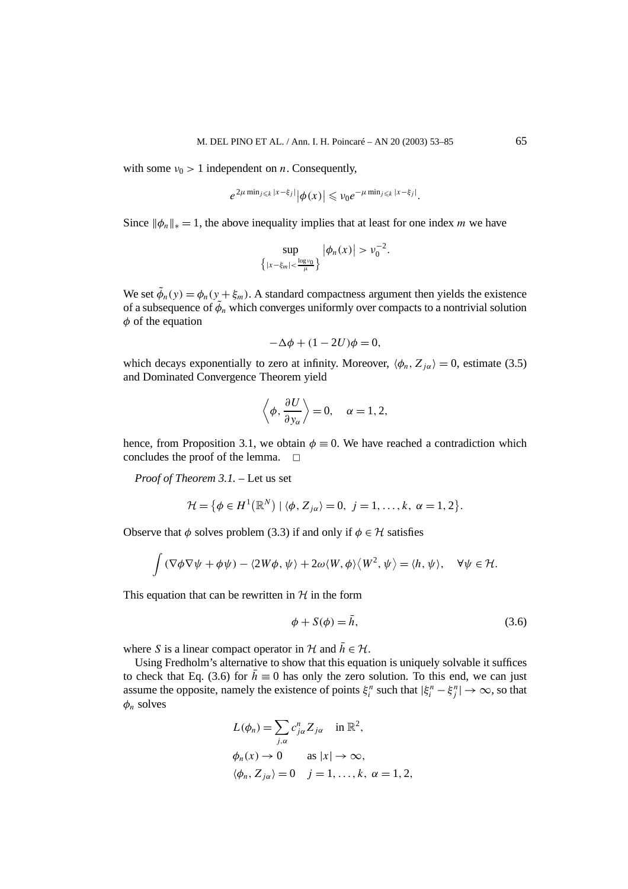with some  $v_0 > 1$  independent on *n*. Consequently,

$$
e^{2\mu \min_{j\leq k}|x-\xi_j|}|\phi(x)| \leq v_0 e^{-\mu \min_{j\leq k}|x-\xi_j|}.
$$

Since  $\|\phi_n\|_{\ast} = 1$ , the above inequality implies that at least for one index *m* we have

$$
\sup_{\{|x-\xi_m|<\frac{\log v_0}{\mu}\}} |\phi_n(x)| > v_0^{-2}.
$$

We set  $\tilde{\phi}_n(y) = \phi_n(y + \xi_m)$ . A standard compactness argument then yields the existence of a subsequence of  $\tilde{\phi}_n$  which converges uniformly over compacts to a nontrivial solution *φ* of the equation

$$
-\Delta\phi + (1 - 2U)\phi = 0,
$$

which decays exponentially to zero at infinity. Moreover,  $\langle \phi_n, Z_{i\alpha} \rangle = 0$ , estimate (3.5) and Dominated Convergence Theorem yield

$$
\left\langle \phi, \frac{\partial U}{\partial y_{\alpha}} \right\rangle = 0, \quad \alpha = 1, 2,
$$

hence, from Proposition 3.1, we obtain  $\phi \equiv 0$ . We have reached a contradiction which concludes the proof of the lemma.  $\square$ 

*Proof of Theorem 3.1. –* Let us set

$$
\mathcal{H} = \{ \phi \in H^1(\mathbb{R}^N) \mid \langle \phi, Z_{j\alpha} \rangle = 0, \ j = 1, \ldots, k, \ \alpha = 1, 2 \}.
$$

Observe that  $\phi$  solves problem (3.3) if and only if  $\phi \in \mathcal{H}$  satisfies

$$
\int (\nabla \phi \nabla \psi + \phi \psi) - \langle 2W\phi, \psi \rangle + 2\omega \langle W, \phi \rangle \langle W^2, \psi \rangle = \langle h, \psi \rangle, \quad \forall \psi \in \mathcal{H}.
$$

This equation that can be rewritten in  $H$  in the form

$$
\phi + S(\phi) = \bar{h},\tag{3.6}
$$

where *S* is a linear compact operator in  $H$  and  $\bar{h} \in H$ .

Using Fredholm's alternative to show that this equation is uniquely solvable it suffices to check that Eq. (3.6) for  $\bar{h} \equiv 0$  has only the zero solution. To this end, we can just assume the opposite, namely the existence of points  $\xi_i^n$  such that  $|\xi_i^n - \xi_j^n| \to \infty$ , so that *φn* solves

$$
L(\phi_n) = \sum_{j,\alpha} c_{j\alpha}^n Z_{j\alpha} \quad \text{in } \mathbb{R}^2,
$$
  

$$
\phi_n(x) \to 0 \qquad \text{as } |x| \to \infty,
$$
  

$$
\langle \phi_n, Z_{j\alpha} \rangle = 0 \quad j = 1, ..., k, \alpha = 1, 2,
$$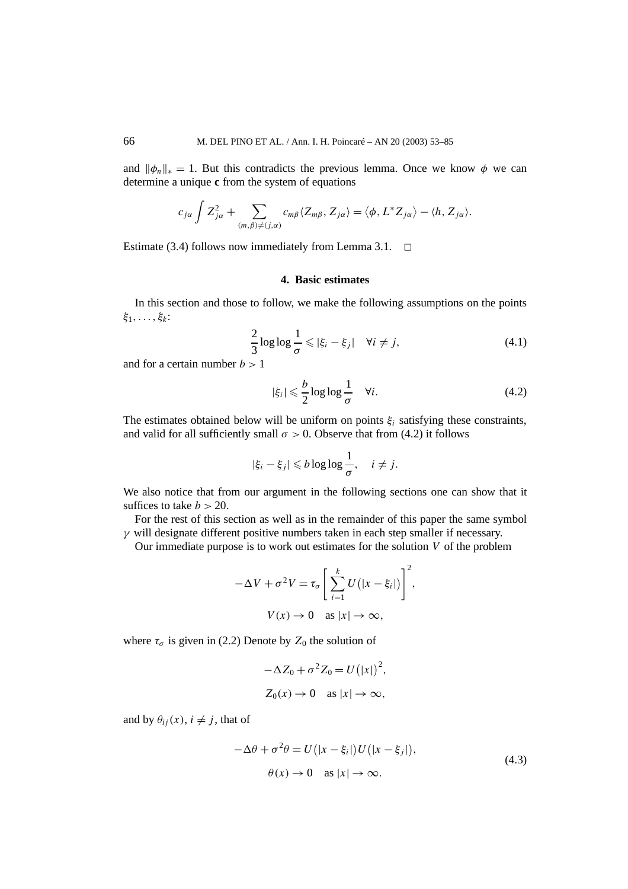and  $\|\phi_n\|_{\ast} = 1$ . But this contradicts the previous lemma. Once we know  $\phi$  we can determine a unique **c** from the system of equations

$$
c_{j\alpha}\int Z_{j\alpha}^2+\sum_{(m,\beta)\neq(j,\alpha)}c_{m\beta}\langle Z_{m\beta},Z_{j\alpha}\rangle=\langle\phi,L^*Z_{j\alpha}\rangle-\langle h,Z_{j\alpha}\rangle.
$$

Estimate (3.4) follows now immediately from Lemma 3.1.  $\Box$ 

#### **4. Basic estimates**

In this section and those to follow, we make the following assumptions on the points *ξ*1*,...,ξk*:

$$
\frac{2}{3}\log\log\frac{1}{\sigma} \leqslant |\xi_i - \xi_j| \quad \forall i \neq j,
$$
\n(4.1)

and for a certain number *b >* 1

$$
|\xi_i| \leqslant \frac{b}{2} \log \log \frac{1}{\sigma} \quad \forall i. \tag{4.2}
$$

The estimates obtained below will be uniform on points  $\xi$ <sub>i</sub> satisfying these constraints, and valid for all sufficiently small  $\sigma > 0$ . Observe that from (4.2) it follows

$$
|\xi_i - \xi_j| \leq b \log \log \frac{1}{\sigma}, \quad i \neq j.
$$

We also notice that from our argument in the following sections one can show that it suffices to take  $b > 20$ .

For the rest of this section as well as in the remainder of this paper the same symbol *γ* will designate different positive numbers taken in each step smaller if necessary.

Our immediate purpose is to work out estimates for the solution *V* of the problem

$$
-\Delta V + \sigma^2 V = \tau_{\sigma} \left[ \sum_{i=1}^{k} U(|x - \xi_i|) \right]^2,
$$
  

$$
V(x) \to 0 \text{ as } |x| \to \infty,
$$

where  $\tau_{\sigma}$  is given in (2.2) Denote by  $Z_0$  the solution of

$$
-\Delta Z_0 + \sigma^2 Z_0 = U(|x|)^2,
$$
  

$$
Z_0(x) \to 0 \quad \text{as } |x| \to \infty,
$$

and by  $\theta_{ij}(x)$ ,  $i \neq j$ , that of

$$
-\Delta\theta + \sigma^2 \theta = U(|x - \xi_i|)U(|x - \xi_j|),
$$
  
\n
$$
\theta(x) \to 0 \quad \text{as } |x| \to \infty.
$$
\n(4.3)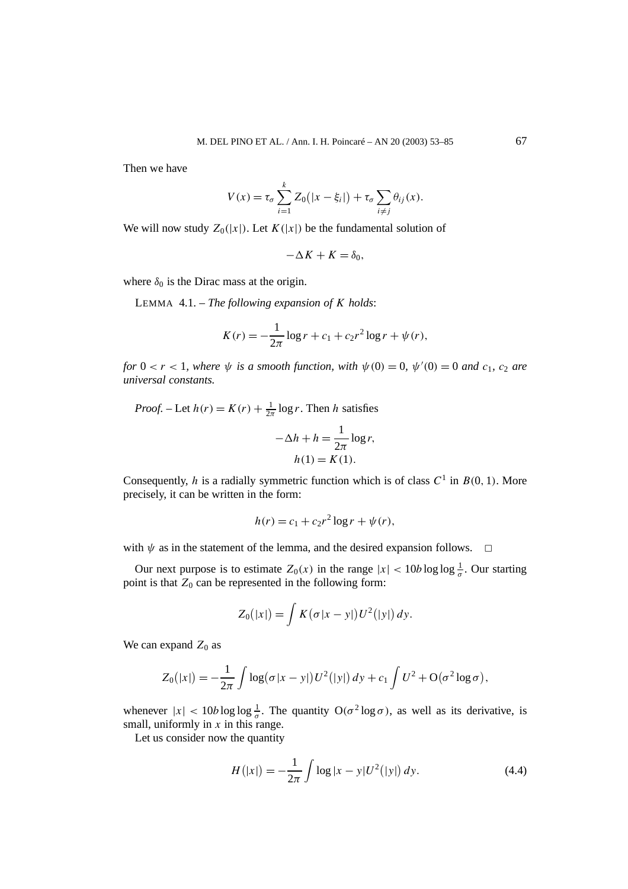Then we have

$$
V(x) = \tau_{\sigma} \sum_{i=1}^{k} Z_0(|x - \xi_i|) + \tau_{\sigma} \sum_{i \neq j} \theta_{ij}(x).
$$

We will now study  $Z_0(|x|)$ . Let  $K(|x|)$  be the fundamental solution of

$$
-\Delta K + K = \delta_0,
$$

where  $\delta_0$  is the Dirac mass at the origin.

LEMMA 4.1. – *The following expansion of K holds*:

$$
K(r) = -\frac{1}{2\pi} \log r + c_1 + c_2 r^2 \log r + \psi(r),
$$

*for*  $0 < r < 1$ *, where*  $\psi$  *is a smooth function, with*  $\psi(0) = 0$ *,*  $\psi'(0) = 0$  *and*  $c_1$ *,*  $c_2$  *are universal constants.*

*Proof.* – Let  $h(r) = K(r) + \frac{1}{2\pi} \log r$ . Then *h* satisfies

$$
-\Delta h + h = \frac{1}{2\pi} \log r,
$$
  
 
$$
h(1) = K(1).
$$

Consequently, *h* is a radially symmetric function which is of class  $C^1$  in  $B(0, 1)$ . More precisely, it can be written in the form:

$$
h(r) = c_1 + c_2 r^2 \log r + \psi(r),
$$

with  $\psi$  as in the statement of the lemma, and the desired expansion follows.  $\Box$ 

Our next purpose is to estimate  $Z_0(x)$  in the range  $|x| < 10b \log \log \frac{1}{\sigma}$ . Our starting point is that  $Z_0$  can be represented in the following form:

$$
Z_0(|x|) = \int K(\sigma |x-y|)U^2(|y|) dy.
$$

We can expand  $Z_0$  as

$$
Z_0(|x|) = -\frac{1}{2\pi} \int \log(\sigma |x - y|) U^2(|y|) dy + c_1 \int U^2 + O(\sigma^2 \log \sigma),
$$

whenever  $|x| < 10b \log \log \frac{1}{\sigma}$ . The quantity  $O(\sigma^2 \log \sigma)$ , as well as its derivative, is small, uniformly in *x* in this range.

Let us consider now the quantity

$$
H(|x|) = -\frac{1}{2\pi} \int \log|x - y| U^{2}(|y|) dy.
$$
 (4.4)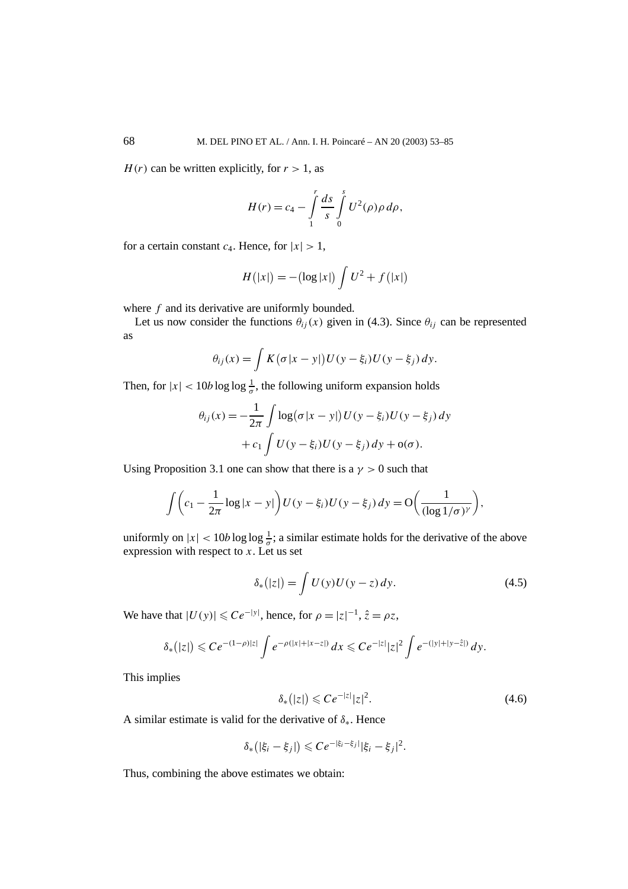$H(r)$  can be written explicitly, for  $r > 1$ , as

$$
H(r) = c_4 - \int_{1}^{r} \frac{ds}{s} \int_{0}^{s} U^2(\rho) \rho \, d\rho,
$$

for a certain constant  $c_4$ . Hence, for  $|x| > 1$ ,

$$
H(|x|) = -(\log|x|) \int U^2 + f(|x|)
$$

where *f* and its derivative are uniformly bounded.

Let us now consider the functions  $\theta_{ij}(x)$  given in (4.3). Since  $\theta_{ij}$  can be represented as

$$
\theta_{ij}(x) = \int K(\sigma |x - y|) U(y - \xi_i) U(y - \xi_j) dy.
$$

Then, for  $|x| < 10b \log \log \frac{1}{\sigma}$ , the following uniform expansion holds

$$
\theta_{ij}(x) = -\frac{1}{2\pi} \int \log(\sigma |x - y|) U(y - \xi_i) U(y - \xi_j) dy
$$

$$
+ c_1 \int U(y - \xi_i) U(y - \xi_j) dy + o(\sigma).
$$

Using Proposition 3.1 one can show that there is a  $\gamma > 0$  such that

$$
\int \left( c_1 - \frac{1}{2\pi} \log|x - y| \right) U(y - \xi_i) U(y - \xi_j) dy = O\left( \frac{1}{(\log 1/\sigma)^{\gamma}} \right),
$$

uniformly on  $|x| < 10b \log \log \frac{1}{\sigma}$ ; a similar estimate holds for the derivative of the above expression with respect to *x*. Let us set

$$
\delta_*(|z|) = \int U(y)U(y-z) dy.
$$
\n(4.5)

We have that  $|U(y)| \le Ce^{-|y|}$ , hence, for  $\rho = |z|^{-1}$ ,  $\hat{z} = \rho z$ ,

$$
\delta_{*}(|z|) \leqslant Ce^{-(1-\rho)|z|} \int e^{-\rho(|x|+|x-z|)} dx \leqslant Ce^{-|z|} |z|^{2} \int e^{-(|y|+|y-\hat{z}|)} dy.
$$

This implies

$$
\delta_*(|z|) \leqslant Ce^{-|z|}|z|^2. \tag{4.6}
$$

A similar estimate is valid for the derivative of *δ*∗. Hence

$$
\delta_*(|\xi_i - \xi_j|) \leq C e^{-|\xi_i - \xi_j|} |\xi_i - \xi_j|^2.
$$

Thus, combining the above estimates we obtain: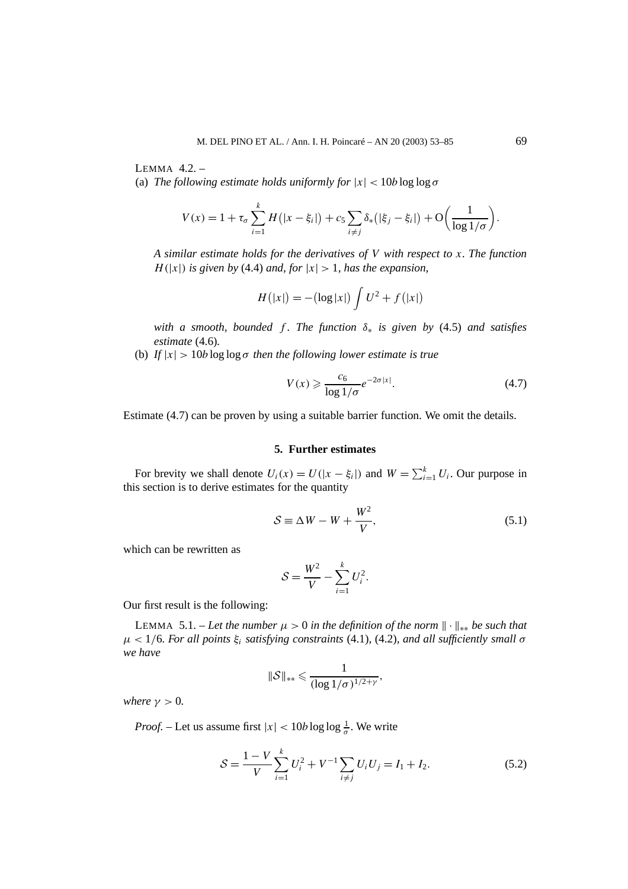LEMMA  $42$  – (a) *The following estimate holds uniformly for*  $|x| < 10b \log \log \sigma$ 

$$
V(x) = 1 + \tau_{\sigma} \sum_{i=1}^{k} H(|x - \xi_{i}|) + c_{5} \sum_{i \neq j} \delta_{*}(|\xi_{j} - \xi_{i}|) + O\left(\frac{1}{\log 1/\sigma}\right).
$$

*A similar estimate holds for the derivatives of V with respect to x. The function H*( $|x|$ ) *is given by* (4.4) *and, for*  $|x| > 1$ *, has the expansion,* 

$$
H(|x|) = -(\log|x|) \int U^2 + f(|x|)
$$

*with a smooth, bounded f . The function δ*<sup>∗</sup> *is given by* (4.5) *and satisfies estimate* (4.6)*.*

(b) If  $|x| > 10b \log \log \sigma$  *then the following lower estimate is true* 

$$
V(x) \geqslant \frac{c_6}{\log 1/\sigma} e^{-2\sigma |x|}.\tag{4.7}
$$

Estimate (4.7) can be proven by using a suitable barrier function. We omit the details.

#### **5. Further estimates**

For brevity we shall denote  $U_i(x) = U(|x - \xi_i|)$  and  $W = \sum_{i=1}^{k} U_i$ . Our purpose in this section is to derive estimates for the quantity

$$
S \equiv \Delta W - W + \frac{W^2}{V},\tag{5.1}
$$

which can be rewritten as

$$
\mathcal{S} = \frac{W^2}{V} - \sum_{i=1}^k U_i^2.
$$

Our first result is the following:

LEMMA 5.1. – Let the number  $\mu > 0$  in the definition of the norm  $\|\cdot\|_{**}$  be such that *µ <* 1*/*6*. For all points ξi satisfying constraints* (4.1)*,* (4.2)*, and all sufficiently small σ we have*

$$
\|\mathcal{S}\|_{**} \leqslant \frac{1}{(\log 1/\sigma)^{1/2+\gamma}},
$$

*where*  $\gamma > 0$ *.* 

*Proof.* – Let us assume first  $|x| < 10b \log \log \frac{1}{\sigma}$ . We write

$$
S = \frac{1 - V}{V} \sum_{i=1}^{k} U_i^2 + V^{-1} \sum_{i \neq j} U_i U_j = I_1 + I_2.
$$
 (5.2)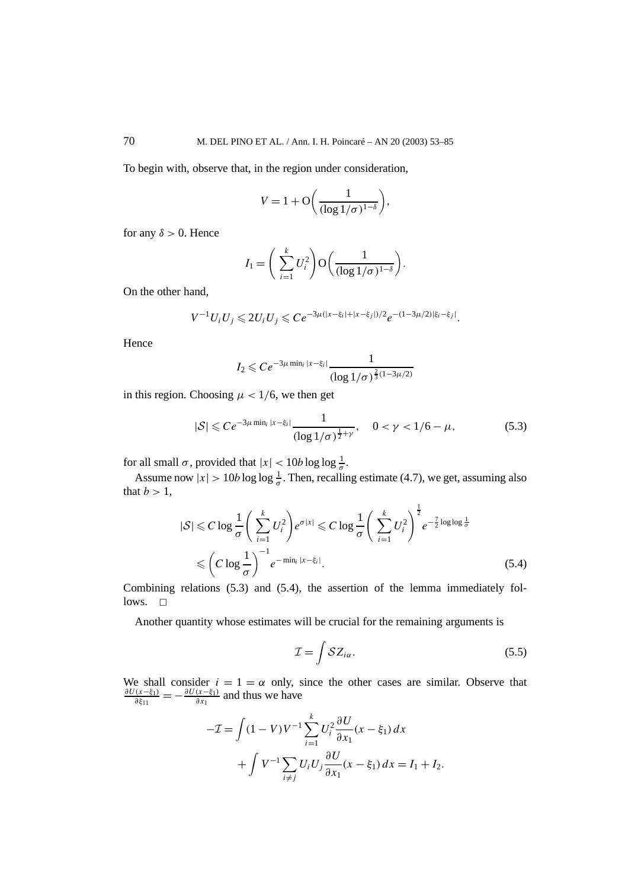To begin with, observe that, in the region under consideration,

$$
V = 1 + \mathcal{O}\left(\frac{1}{(\log 1/\sigma)^{1-\delta}}\right),\,
$$

for any  $\delta > 0$ . Hence

$$
I_1 = \left(\sum_{i=1}^k U_i^2\right) O\left(\frac{1}{(\log 1/\sigma)^{1-\delta}}\right).
$$

On the other hand,

$$
V^{-1}U_iU_j \leq 2U_iU_j \leq Ce^{-3\mu(|x-\xi_i|+|x-\xi_j|)/2}e^{-(1-3\mu/2)|\xi_i-\xi_j|}.
$$

Hence

$$
I_2 \leqslant Ce^{-3\mu \min_i |x-\xi_i|} \frac{1}{(\log 1/\sigma)^{\frac{2}{3}(1-3\mu/2)}}
$$

in this region. Choosing  $\mu$  < 1/6, we then get

$$
|\mathcal{S}| \leqslant Ce^{-3\mu \min_{i} |x-\xi_{i}|} \frac{1}{(\log 1/\sigma)^{\frac{1}{2}+\gamma}}, \quad 0 < \gamma < 1/6 - \mu,
$$
 (5.3)

for all small  $\sigma$ , provided that  $|x| < 10b \log \log \frac{1}{\sigma}$ .

Assume now  $|x| > 10b \log \log \frac{1}{\sigma}$ . Then, recalling estimate (4.7), we get, assuming also that  $b > 1$ ,

$$
|\mathcal{S}| \leqslant C \log \frac{1}{\sigma} \left( \sum_{i=1}^{k} U_i^2 \right) e^{\sigma |x|} \leqslant C \log \frac{1}{\sigma} \left( \sum_{i=1}^{k} U_i^2 \right)^{\frac{1}{2}} e^{-\frac{7}{2} \log \log \frac{1}{\sigma}}
$$
  
\$\leqslant \left( C \log \frac{1}{\sigma} \right)^{-1} e^{-\min\_i |x - \xi\_i|}.\tag{5.4}

Combining relations (5.3) and (5.4), the assertion of the lemma immediately fol $lows.  $\Box$$ 

Another quantity whose estimates will be crucial for the remaining arguments is

$$
\mathcal{I} = \int \mathcal{S}Z_{i\alpha}.\tag{5.5}
$$

We shall consider  $i = 1 = \alpha$  only, since the other cases are similar. Observe that  $\frac{\partial U(x-\xi_1)}{\partial \xi_{11}} = -\frac{\partial U(x-\xi_1)}{\partial x_1}$  and thus we have

$$
- \mathcal{I} = \int (1 - V)V^{-1} \sum_{i=1}^{k} U_i^2 \frac{\partial U}{\partial x_1} (x - \xi_1) dx + \int V^{-1} \sum_{i \neq j} U_i U_j \frac{\partial U}{\partial x_1} (x - \xi_1) dx = I_1 + I_2.
$$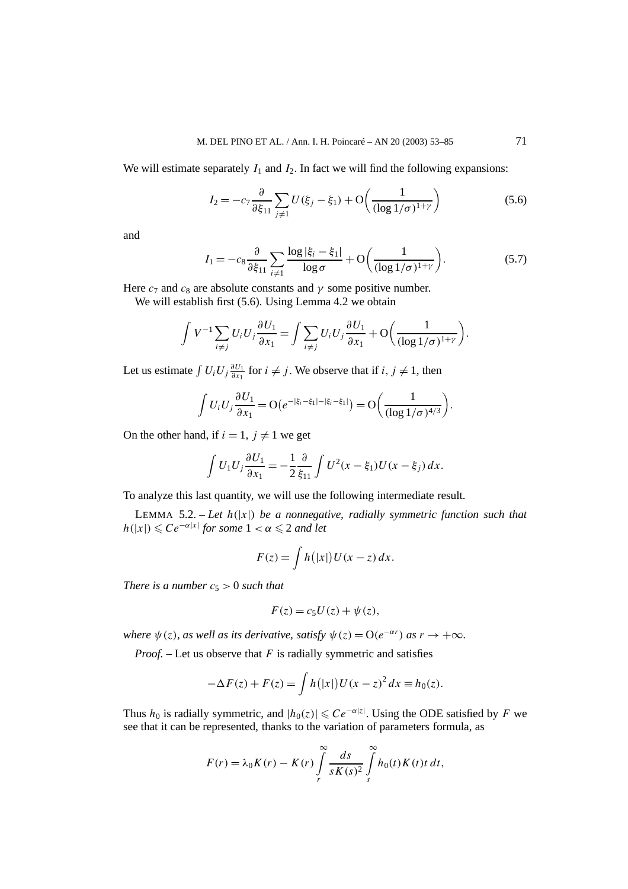We will estimate separately  $I_1$  and  $I_2$ . In fact we will find the following expansions:

$$
I_2 = -c_7 \frac{\partial}{\partial \xi_{11}} \sum_{j \neq 1} U(\xi_j - \xi_1) + \mathcal{O}\left(\frac{1}{(\log 1/\sigma)^{1+\gamma}}\right) \tag{5.6}
$$

and

$$
I_1 = -c_8 \frac{\partial}{\partial \xi_{11}} \sum_{i \neq 1} \frac{\log|\xi_i - \xi_1|}{\log \sigma} + \mathcal{O}\left(\frac{1}{(\log 1/\sigma)^{1+\gamma}}\right). \tag{5.7}
$$

Here  $c_7$  and  $c_8$  are absolute constants and  $\gamma$  some positive number.

We will establish first (5.6). Using Lemma 4.2 we obtain

$$
\int V^{-1} \sum_{i \neq j} U_i U_j \frac{\partial U_1}{\partial x_1} = \int \sum_{i \neq j} U_i U_j \frac{\partial U_1}{\partial x_1} + \mathcal{O}\left(\frac{1}{(\log 1/\sigma)^{1+\gamma}}\right).
$$

Let us estimate  $\int U_i U_j \frac{\partial U_1}{\partial x_1}$  for  $i \neq j$ . We observe that if  $i, j \neq 1$ , then

$$
\int U_i U_j \frac{\partial U_1}{\partial x_1} = O(e^{-|\xi_i - \xi_1| - |\xi_i - \xi_1|}) = O\left(\frac{1}{(\log 1/\sigma)^{4/3}}\right).
$$

On the other hand, if  $i = 1$ ,  $j \neq 1$  we get

$$
\int U_1 U_j \frac{\partial U_1}{\partial x_1} = -\frac{1}{2} \frac{\partial}{\xi_{11}} \int U^2 (x - \xi_1) U(x - \xi_j) \, dx.
$$

To analyze this last quantity, we will use the following intermediate result.

LEMMA 5.2. – Let  $h(|x|)$  be a nonnegative, radially symmetric function such that  $h(|x|) \leq C e^{-\alpha|x|}$  *for some*  $1 < \alpha \leq 2$  *and let* 

$$
F(z) = \int h(|x|)U(x - z) dx.
$$

*There is a number*  $c_5 > 0$  *such that* 

$$
F(z) = c_5 U(z) + \psi(z),
$$

*where*  $\psi(z)$ *, as well as its derivative, satisfy*  $\psi(z) = O(e^{-\alpha r})$  *as*  $r \to +\infty$ *.* 

*Proof. –* Let us observe that *F* is radially symmetric and satisfies

$$
-\Delta F(z) + F(z) = \int h(|x|)U(x - z)^2 dx \equiv h_0(z).
$$

Thus  $h_0$  is radially symmetric, and  $|h_0(z)| \leqslant Ce^{-\alpha|z|}$ . Using the ODE satisfied by F we see that it can be represented, thanks to the variation of parameters formula, as

$$
F(r) = \lambda_0 K(r) - K(r) \int\limits_r^\infty \frac{ds}{s K(s)^2} \int\limits_s^\infty h_0(t) K(t) t \, dt,
$$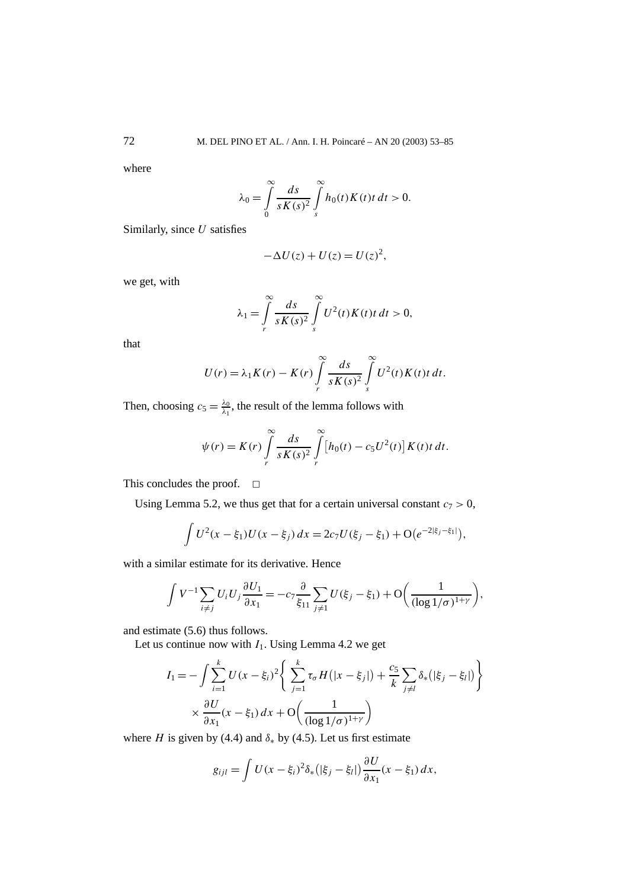where

$$
\lambda_0 = \int\limits_0^\infty \frac{ds}{sK(s)^2} \int\limits_s^\infty h_0(t)K(t)t\,dt > 0.
$$

Similarly, since *U* satisfies

$$
-\Delta U(z) + U(z) = U(z)^2,
$$

we get, with

$$
\lambda_1 = \int\limits_r^\infty \frac{ds}{sK(s)^2} \int\limits_s^\infty U^2(t)K(t)t\,dt > 0,
$$

that

$$
U(r) = \lambda_1 K(r) - K(r) \int\limits_r^\infty \frac{ds}{sK(s)^2} \int\limits_s^\infty U^2(t)K(t) t dt.
$$

Then, choosing  $c_5 = \frac{\lambda_0}{\lambda_1}$ , the result of the lemma follows with

$$
\psi(r) = K(r) \int\limits_r^\infty \frac{ds}{sK(s)^2} \int\limits_r^\infty [h_0(t) - c_5 U^2(t)] K(t) t \, dt.
$$

This concludes the proof.  $\Box$ 

Using Lemma 5.2, we thus get that for a certain universal constant  $c_7 > 0$ ,

$$
\int U^2(x-\xi_1)U(x-\xi_j)\,dx=2c_7U(\xi_j-\xi_1)+O(e^{-2|\xi_j-\xi_1|}),
$$

with a similar estimate for its derivative. Hence

$$
\int V^{-1} \sum_{i \neq j} U_i U_j \frac{\partial U_1}{\partial x_1} = -c_7 \frac{\partial}{\xi_{11}} \sum_{j \neq 1} U(\xi_j - \xi_1) + \mathcal{O}\left(\frac{1}{(\log 1/\sigma)^{1+\gamma}}\right),
$$

and estimate (5.6) thus follows.

Let us continue now with  $I_1$ . Using Lemma 4.2 we get

$$
I_{1} = -\int \sum_{i=1}^{k} U(x - \xi_{i})^{2} \left\{ \sum_{j=1}^{k} \tau_{\sigma} H(|x - \xi_{j}|) + \frac{c_{5}}{k} \sum_{j \neq l} \delta_{*}(|\xi_{j} - \xi_{l}|) \right\}
$$

$$
\times \frac{\partial U}{\partial x_{1}}(x - \xi_{1}) dx + O\left(\frac{1}{(\log 1/\sigma)^{1+\gamma}}\right)
$$

where *H* is given by (4.4) and  $\delta_*$  by (4.5). Let us first estimate

$$
g_{ijl} = \int U(x - \xi_i)^2 \delta_* (|\xi_j - \xi_l|) \frac{\partial U}{\partial x_1}(x - \xi_1) dx,
$$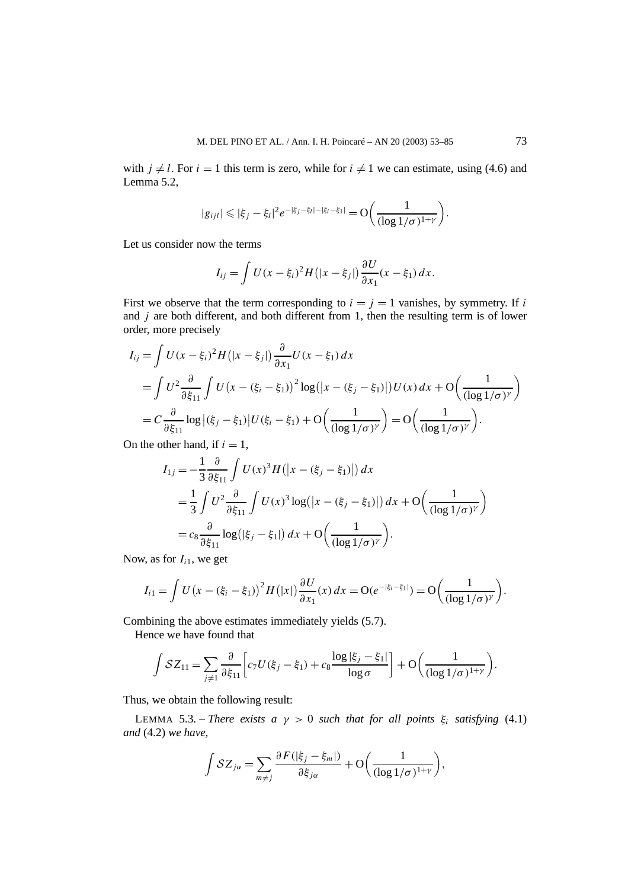with  $j \neq l$ . For  $i = 1$  this term is zero, while for  $i \neq 1$  we can estimate, using (4.6) and Lemma 5.2,

$$
|g_{ijl}| \leqslant |\xi_j - \xi_l|^2 e^{-|\xi_j - \xi_l| - |\xi_i - \xi_l|} = O\bigg(\frac{1}{(\log 1/\sigma)^{1+\gamma}}\bigg).
$$

Let us consider now the terms

$$
I_{ij} = \int U(x - \xi_i)^2 H(|x - \xi_j|) \frac{\partial U}{\partial x_1}(x - \xi_1) dx.
$$

First we observe that the term corresponding to  $i = j = 1$  vanishes, by symmetry. If *i* and *j* are both different, and both different from 1, then the resulting term is of lower order, more precisely

$$
I_{ij} = \int U(x - \xi_i)^2 H(|x - \xi_j|) \frac{\partial}{\partial x_1} U(x - \xi_1) dx
$$
  
= 
$$
\int U^2 \frac{\partial}{\partial \xi_{11}} \int U(x - (\xi_i - \xi_1))^2 \log(|x - (\xi_j - \xi_1)|) U(x) dx + O\left(\frac{1}{(\log 1/\sigma)^{\gamma}}\right)
$$
  
= 
$$
C \frac{\partial}{\partial \xi_{11}} \log |(\xi_j - \xi_1)| U(\xi_i - \xi_1) + O\left(\frac{1}{(\log 1/\sigma)^{\gamma}}\right) = O\left(\frac{1}{(\log 1/\sigma)^{\gamma}}\right).
$$

On the other hand, if  $i = 1$ ,

$$
I_{1j} = -\frac{1}{3} \frac{\partial}{\partial \xi_{11}} \int U(x)^3 H(|x - (\xi_j - \xi_1)|) dx
$$
  
=  $\frac{1}{3} \int U^2 \frac{\partial}{\partial \xi_{11}} \int U(x)^3 \log(|x - (\xi_j - \xi_1)|) dx + O\left(\frac{1}{(\log 1/\sigma)^{\gamma}}\right)$   
=  $c_8 \frac{\partial}{\partial \xi_{11}} \log(|\xi_j - \xi_1|) dx + O\left(\frac{1}{(\log 1/\sigma)^{\gamma}}\right)$ .

Now, as for  $I_{i1}$ , we get

$$
I_{i1} = \int U(x - (\xi_i - \xi_1))^2 H(|x|) \frac{\partial U}{\partial x_1}(x) dx = O(e^{-|\xi_i - \xi_1|}) = O\left(\frac{1}{(\log 1/\sigma)^{\gamma}}\right).
$$

Combining the above estimates immediately yields (5.7).

Hence we have found that

$$
\int \mathcal{S}Z_{11} = \sum_{j\neq 1} \frac{\partial}{\partial \xi_{11}} \left[ c_7 U(\xi_j - \xi_1) + c_8 \frac{\log |\xi_j - \xi_1|}{\log \sigma} \right] + \mathcal{O}\left(\frac{1}{(\log 1/\sigma)^{1+\gamma}}\right).
$$

Thus, we obtain the following result:

LEMMA 5.3. – *There exists a*  $\gamma > 0$  *such that for all points*  $\xi_i$  *satisfying* (4.1) *and* (4.2) *we have,*

$$
\int \mathcal{S}Z_{j\alpha} = \sum_{m \neq j} \frac{\partial F(|\xi_j - \xi_m|)}{\partial \xi_{j\alpha}} + \mathcal{O}\bigg(\frac{1}{(\log 1/\sigma)^{1+\gamma}}\bigg),\,
$$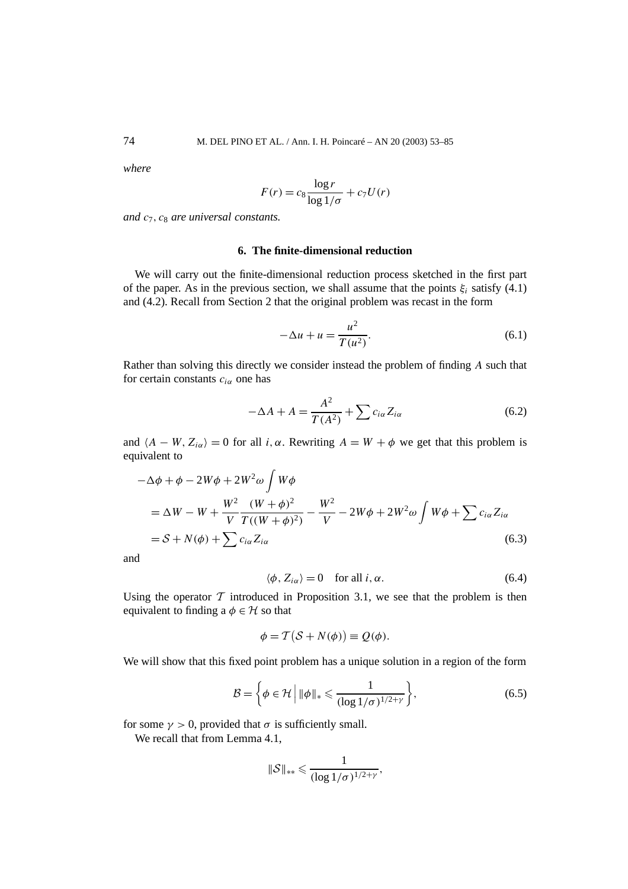*where*

$$
F(r) = c_8 \frac{\log r}{\log 1/\sigma} + c_7 U(r)
$$

*and c*7*, c*<sup>8</sup> *are universal constants.*

# **6. The finite-dimensional reduction**

We will carry out the finite-dimensional reduction process sketched in the first part of the paper. As in the previous section, we shall assume that the points  $\xi_i$  satisfy (4.1) and (4.2). Recall from Section 2 that the original problem was recast in the form

$$
-\Delta u + u = \frac{u^2}{T(u^2)}.
$$
\n(6.1)

Rather than solving this directly we consider instead the problem of finding *A* such that for certain constants  $c_{i\alpha}$  one has

$$
-\Delta A + A = \frac{A^2}{T(A^2)} + \sum c_{i\alpha} Z_{i\alpha}
$$
 (6.2)

and  $\langle A - W, Z_{i\alpha} \rangle = 0$  for all *i, α*. Rewriting  $A = W + \phi$  we get that this problem is equivalent to

$$
-\Delta\phi + \phi - 2W\phi + 2W^2\omega \int W\phi
$$
  
=  $\Delta W - W + \frac{W^2}{V} \frac{(W+\phi)^2}{T((W+\phi)^2)} - \frac{W^2}{V} - 2W\phi + 2W^2\omega \int W\phi + \sum c_{i\alpha} Z_{i\alpha}$   
=  $S + N(\phi) + \sum c_{i\alpha} Z_{i\alpha}$  (6.3)

and

$$
\langle \phi, Z_{i\alpha} \rangle = 0 \quad \text{for all } i, \alpha. \tag{6.4}
$$

Using the operator  $\mathcal T$  introduced in Proposition 3.1, we see that the problem is then equivalent to finding a  $\phi \in \mathcal{H}$  so that

$$
\phi = \mathcal{T}(\mathcal{S} + N(\phi)) \equiv \mathcal{Q}(\phi).
$$

We will show that this fixed point problem has a unique solution in a region of the form

$$
\mathcal{B} = \left\{ \phi \in \mathcal{H} \, \middle| \, \|\phi\|_{*} \leq \frac{1}{(\log 1/\sigma)^{1/2 + \gamma}} \right\},\tag{6.5}
$$

for some  $\gamma > 0$ , provided that  $\sigma$  is sufficiently small.

We recall that from Lemma 4.1,

$$
\|\mathcal{S}\|_{**}\leqslant \frac{1}{(\log 1/\sigma)^{1/2+\gamma}},
$$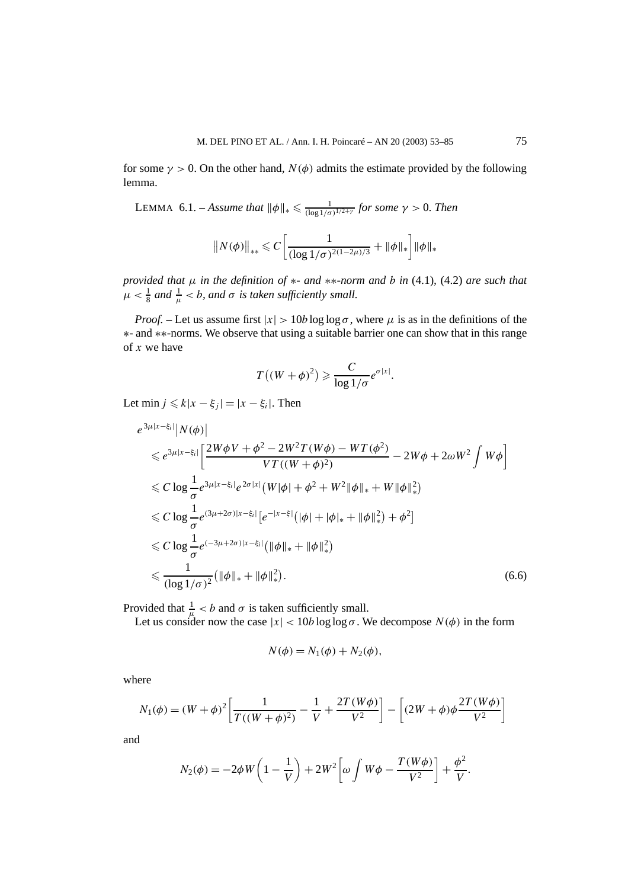for some  $\gamma > 0$ . On the other hand,  $N(\phi)$  admits the estimate provided by the following lemma.

LEMMA 6.1. – *Assume that*  $\|\phi\|_{*} \leq \frac{1}{(\log 1/\sigma)^{1/2+\gamma}}$  for some  $\gamma > 0$ . Then

$$
||N(\phi)||_{**} \leq C \left[ \frac{1}{(\log 1/\sigma)^{2(1-2\mu)/3}} + ||\phi||_* \right] ||\phi||_*
$$

*provided that µ in the definition of* ∗*- and* ∗∗*-norm and b in* (4.1)*,* (4.2) *are such that*  $\mu < \frac{1}{8}$  and  $\frac{1}{\mu} < b$ , and  $\sigma$  is taken sufficiently small.

*Proof.* – Let us assume first  $|x| > 10b \log \log \sigma$ , where  $\mu$  is as in the definitions of the ∗- and ∗∗-norms. We observe that using a suitable barrier one can show that in this range of *x* we have

$$
T((W+\phi)^2) \geqslant \frac{C}{\log 1/\sigma} e^{\sigma|x|}.
$$

Let min  $j \leq k|x - \xi_i| = |x - \xi_i|$ . Then

$$
e^{3\mu|x-\xi_i|}|N(\phi)|
$$
  
\n
$$
\leq e^{3\mu|x-\xi_i|} \left[ \frac{2W\phi V + \phi^2 - 2W^2 T (W\phi) - WT (\phi^2)}{VT ((W+\phi)^2)} - 2W\phi + 2\omega W^2 \int W\phi \right]
$$
  
\n
$$
\leq C \log \frac{1}{\sigma} e^{3\mu|x-\xi_i|} e^{2\sigma|x|} (W|\phi| + \phi^2 + W^2 \|\phi\|_* + W \|\phi\|_*^2)
$$
  
\n
$$
\leq C \log \frac{1}{\sigma} e^{(3\mu+2\sigma)|x-\xi_i|} [e^{-|x-\xi|} (|\phi| + |\phi|_* + ||\phi||_*^2) + \phi^2]
$$
  
\n
$$
\leq C \log \frac{1}{\sigma} e^{(-3\mu+2\sigma)|x-\xi_i|} (||\phi||_* + ||\phi||_*^2)
$$
  
\n
$$
\leq \frac{1}{(\log 1/\sigma)^2} (||\phi||_* + ||\phi||_*^2).
$$
 (6.6)

Provided that  $\frac{1}{\mu} < b$  and  $\sigma$  is taken sufficiently small.

Let us consider now the case  $|x| < 10b \log \log \sigma$ . We decompose  $N(\phi)$  in the form

$$
N(\phi) = N_1(\phi) + N_2(\phi),
$$

where

$$
N_1(\phi) = (W + \phi)^2 \left[ \frac{1}{T((W + \phi)^2)} - \frac{1}{V} + \frac{2T(W\phi)}{V^2} \right] - \left[ (2W + \phi)\phi \frac{2T(W\phi)}{V^2} \right]
$$

and

$$
N_2(\phi) = -2\phi W\left(1 - \frac{1}{V}\right) + 2W^2\left[\omega \int W\phi - \frac{T(W\phi)}{V^2}\right] + \frac{\phi^2}{V}.
$$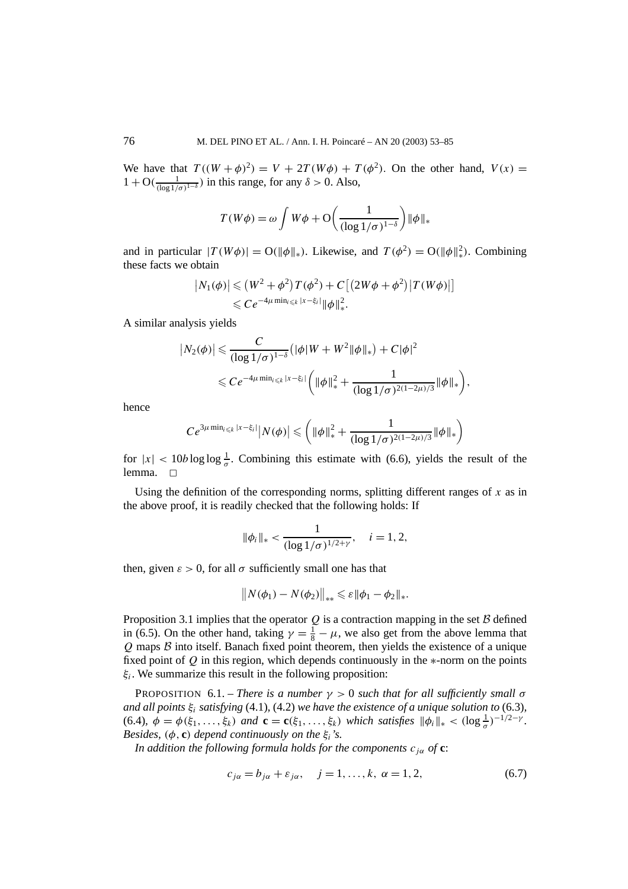We have that  $T((W + \phi)^2) = V + 2T(W\phi) + T(\phi^2)$ . On the other hand,  $V(x) =$  $1 + O(\frac{1}{(\log 1/\sigma)^{1-\delta}})$  in this range, for any  $\delta > 0$ . Also,

$$
T(W\phi) = \omega \int W\phi + \mathcal{O}\left(\frac{1}{(\log 1/\sigma)^{1-\delta}}\right) \|\phi\|_{*}
$$

and in particular  $|T(W\phi)| = O(||\phi||_*)$ . Likewise, and  $T(\phi^2) = O(||\phi||_*^2)$ . Combining these facts we obtain

$$
|N_1(\phi)| \leq (W^2 + \phi^2)T(\phi^2) + C[(2W\phi + \phi^2)|T(W\phi)|] \leq Ce^{-4\mu \min_{i \leq k} |x - \xi_i|} \|\phi\|_*^2.
$$

A similar analysis yields

$$
|N_2(\phi)| \leqslant \frac{C}{(\log 1/\sigma)^{1-\delta}} \left( |\phi| W + W^2 ||\phi||_* \right) + C |\phi|^2
$$
  

$$
\leqslant C e^{-4\mu \min_{i \leqslant k} |x - \xi_i|} \left( ||\phi||_*^2 + \frac{1}{(\log 1/\sigma)^{2(1-2\mu)/3}} ||\phi||_* \right),
$$

hence

$$
Ce^{3\mu \min_{i \leq k} |x-\xi_i|} |N(\phi)| \leq ( \|\phi\|_*^2 + \frac{1}{(\log 1/\sigma)^{2(1-2\mu)/3}} \|\phi\|_* \bigg)
$$

for  $|x| < 10b \log \log \frac{1}{\sigma}$ . Combining this estimate with (6.6), yields the result of the lemma.  $\Box$ 

Using the definition of the corresponding norms, splitting different ranges of *x* as in the above proof, it is readily checked that the following holds: If

$$
\|\phi_i\|_{*} < \frac{1}{(\log 1/\sigma)^{1/2+\gamma}}, \quad i = 1, 2,
$$

then, given  $\varepsilon > 0$ , for all  $\sigma$  sufficiently small one has that

$$
||N(\phi_1) - N(\phi_2)||_{**} \leqslant \varepsilon ||\phi_1 - \phi_2||_{*}.
$$

Proposition 3.1 implies that the operator  $Q$  is a contraction mapping in the set  $B$  defined in (6.5). On the other hand, taking  $\gamma = \frac{1}{8} - \mu$ , we also get from the above lemma that  $Q$  maps  $B$  into itself. Banach fixed point theorem, then yields the existence of a unique fixed point of *Q* in this region, which depends continuously in the ∗-norm on the points *ξi*. We summarize this result in the following proposition:

PROPOSITION 6.1. – *There is a number*  $\gamma > 0$  *such that for all sufficiently small*  $\sigma$ *and all points ξi satisfying* (4.1)*,* (4.2) *we have the existence of a unique solution to* (6.3)*,*  $(6.4)$ ,  $\phi = \phi(\xi_1, \ldots, \xi_k)$  and  $\mathbf{c} = \mathbf{c}(\xi_1, \ldots, \xi_k)$  which satisfies  $\|\phi_i\|_* < (\log \frac{1}{\sigma})^{-1/2 - \gamma}$ . *Besides,*  $(\phi, \mathbf{c})$  *depend continuously on the*  $\xi_i$ *'s.* 

*In addition the following formula holds for the components*  $c_{i\alpha}$  *of* **c**:

$$
c_{j\alpha} = b_{j\alpha} + \varepsilon_{j\alpha}, \quad j = 1, \dots, k, \ \alpha = 1, 2, \tag{6.7}
$$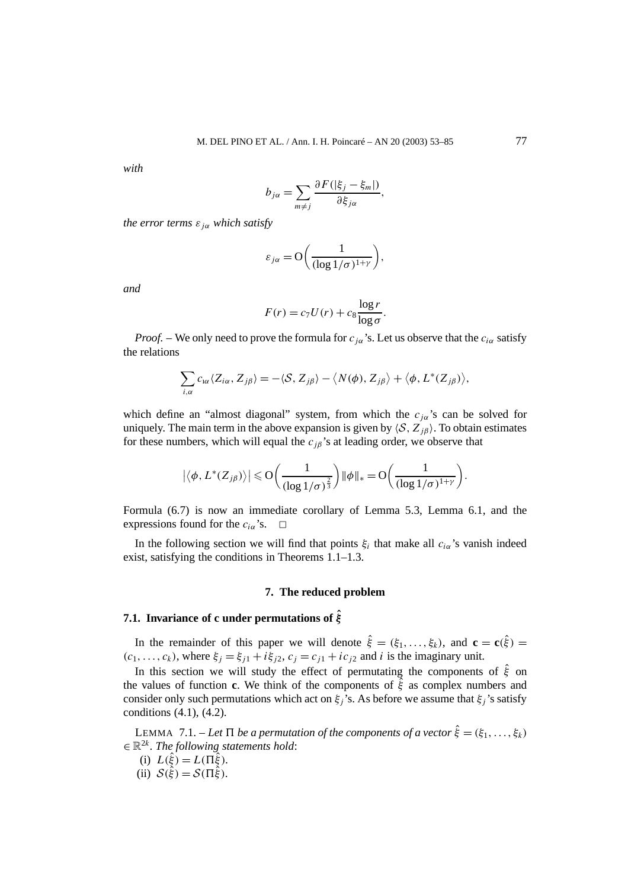*with*

$$
b_{j\alpha} = \sum_{m \neq j} \frac{\partial F(|\xi_j - \xi_m|)}{\partial \xi_{j\alpha}},
$$

*the error terms*  $\varepsilon_{i\alpha}$  *which satisfy* 

$$
\varepsilon_{j\alpha} = O\bigg(\frac{1}{(\log 1/\sigma)^{1+\gamma}}\bigg),\,
$$

*and*

$$
F(r) = c_7 U(r) + c_8 \frac{\log r}{\log \sigma}.
$$

*Proof.* – We only need to prove the formula for  $c_{i\alpha}$ 's. Let us observe that the  $c_{i\alpha}$  satisfy the relations

$$
\sum_{i,\alpha} c_{i\alpha} \langle Z_{i\alpha}, Z_{j\beta} \rangle = - \langle S, Z_{j\beta} \rangle - \langle N(\phi), Z_{j\beta} \rangle + \langle \phi, L^*(Z_{j\beta}) \rangle,
$$

which define an "almost diagonal" system, from which the  $c_{i\alpha}$ 's can be solved for uniquely. The main term in the above expansion is given by  $\langle S, Z_{i\beta} \rangle$ . To obtain estimates for these numbers, which will equal the  $c_{i\beta}$ 's at leading order, we observe that

$$
\left|\langle \phi, L^*(Z_{j\beta})\rangle\right| \leq \mathcal{O}\left(\frac{1}{(\log 1/\sigma)^{\frac{2}{3}}}\right) \|\phi\|_{*} = \mathcal{O}\left(\frac{1}{(\log 1/\sigma)^{1+\gamma}}\right).
$$

Formula (6.7) is now an immediate corollary of Lemma 5.3, Lemma 6.1, and the expressions found for the  $c_{i\alpha}$ 's.  $\Box$ 

In the following section we will find that points  $\xi_i$  that make all  $c_{i\alpha}$ 's vanish indeed exist, satisfying the conditions in Theorems 1.1–1.3.

#### **7. The reduced problem**

# **7.1. Invariance of c under permutations of ˆ** *ξ*

In the remainder of this paper we will denote  $\hat{\xi} = (\xi_1, \dots, \xi_k)$ , and  $\mathbf{c} = \mathbf{c}(\hat{\xi}) =$  $(c_1, \ldots, c_k)$ , where  $\xi_j = \xi_{j1} + i\xi_{j2}$ ,  $c_j = c_{j1} + ic_{j2}$  and *i* is the imaginary unit.

In this section we will study the effect of permutating the components of *ξ*ˆ on the values of function **c**. We think of the components of *ξ*ˆ as complex numbers and consider only such permutations which act on  $\xi_j$ 's. As before we assume that  $\xi_j$ 's satisfy conditions (4.1), (4.2).

LEMMA 7.1. – Let  $\Pi$  be a permutation of the components of a vector  $\hat{\xi} = (\xi_1, \ldots, \xi_k)$  $\in \mathbb{R}^{2k}$ *. The following statements hold:* 

- (i)  $L(\xi) = L(\Pi \xi)$ .
- (ii)  $S(\hat{\xi}) = S(\Pi \hat{\xi})$ .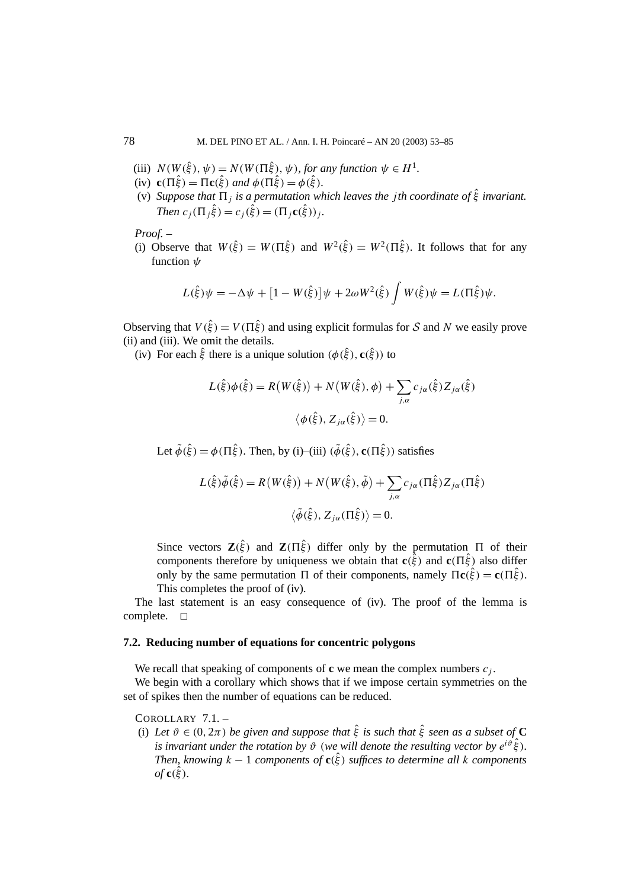- (iii)  $N(W(\hat{\xi}), \psi) = N(W(\Pi \hat{\xi}), \psi)$ , for any function  $\psi \in H^1$ .
- (iv)  $\mathbf{c}(\Pi \hat{\xi}) = \Pi \mathbf{c}(\hat{\xi})$  and  $\phi(\Pi \hat{\xi}) = \phi(\hat{\xi})$ .
- (v) *Suppose that*  $\Pi_j$  *is a permutation which leaves the <i>jth coordinate of*  $\hat{\xi}$  *invariant. Then*  $c_j(\Pi_j \hat{\xi}) = c_j(\hat{\xi}) = (\Pi_j c(\hat{\xi}))_j$ .

*Proof. –*

(i) Observe that  $W(\hat{\xi}) = W(\Pi \hat{\xi})$  and  $W^2(\hat{\xi}) = W^2(\Pi \hat{\xi})$ . It follows that for any function *ψ*

$$
L(\hat{\xi})\psi = -\Delta\psi + [1 - W(\hat{\xi})]\psi + 2\omega W^{2}(\hat{\xi})\int W(\hat{\xi})\psi = L(\Pi\hat{\xi})\psi.
$$

Observing that  $V(\hat{\xi}) = V(\Pi \hat{\xi})$  and using explicit formulas for S and N we easily prove (ii) and (iii). We omit the details.

(iv) For each  $\hat{\xi}$  there is a unique solution  $(\phi(\hat{\xi}), \mathbf{c}(\hat{\xi}))$  to

$$
L(\hat{\xi})\phi(\hat{\xi}) = R(W(\hat{\xi})) + N(W(\hat{\xi}), \phi) + \sum_{j,\alpha} c_{j\alpha}(\hat{\xi}) Z_{j\alpha}(\hat{\xi})
$$

$$
\langle \phi(\hat{\xi}), Z_{j\alpha}(\hat{\xi}) \rangle = 0.
$$

Let  $\tilde{\phi}(\hat{\xi}) = \phi(\Pi \hat{\xi})$ . Then, by (i)–(iii)  $(\tilde{\phi}(\hat{\xi}), \mathbf{c}(\Pi \hat{\xi}))$  satisfies

$$
L(\hat{\xi})\tilde{\phi}(\hat{\xi}) = R(W(\hat{\xi})) + N(W(\hat{\xi}), \tilde{\phi}) + \sum_{j,\alpha} c_{j\alpha}(\Pi \hat{\xi}) Z_{j\alpha}(\Pi \hat{\xi})
$$

$$
\langle \tilde{\phi}(\hat{\xi}), Z_{j\alpha}(\Pi \hat{\xi}) \rangle = 0.
$$

Since vectors  $\mathbf{Z}(\hat{\xi})$  and  $\mathbf{Z}(\Pi \hat{\xi})$  differ only by the permutation  $\Pi$  of their components therefore by uniqueness we obtain that  $c(\hat{\xi})$  and  $c(\Pi \hat{\xi})$  also differ only by the same permutation Π of their components, namely  $\Pi$ **c**( $\hat{\hat{\xi}}$ ) = **c**( $\Pi \hat{\hat{\xi}}$ ). This completes the proof of (iv).

The last statement is an easy consequence of (iv). The proof of the lemma is complete.  $\square$ 

# **7.2. Reducing number of equations for concentric polygons**

We recall that speaking of components of  $\mathbf{c}$  we mean the complex numbers  $c_j$ .

We begin with a corollary which shows that if we impose certain symmetries on the set of spikes then the number of equations can be reduced.

COROLLARY 7.1. –

(i) Let  $\vartheta \in (0, 2\pi)$  be given and suppose that  $\hat{\xi}$  is such that  $\hat{\xi}$  seen as a subset of **C** *is invariant under the rotation by*  $\vartheta$  (*we will denote the resulting vector by*  $e^{i\vartheta} \hat{\xi}$ *). Then, knowing*  $k - 1$  *components of*  $c(\hat{\xi})$  *suffices to determine all k components*  $of$  **c** $(\hat{\xi})$ **.**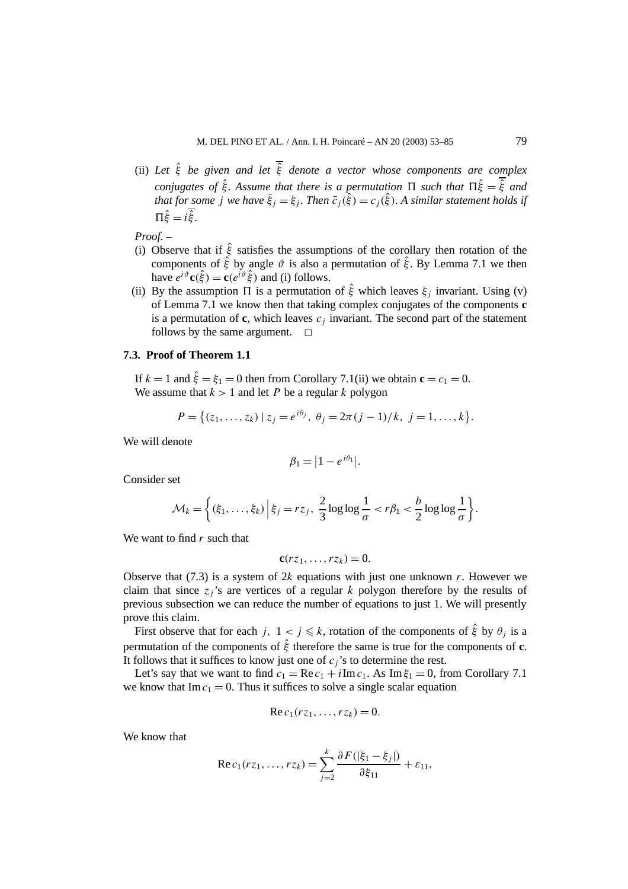(ii) *Let ξ*ˆ *be given and let ξ*ˆ *denote a vector whose components are complex conjugates of*  $\hat{\xi}$ *. Assume that there is a permutation*  $\Pi$  *such that*  $\Pi \hat{\xi} = \overline{\hat{\xi}}$  *and that for some j* we have  $\bar{\xi}_j = \xi_j$ . Then  $\bar{c}_j(\hat{\xi}) = c_j(\hat{\xi})$ . A similar statement holds if  $\Pi \hat{\xi} = i \overline{\hat{\xi}}$ .

*Proof. –*

- (i) Observe that if *ξ*ˆ satisfies the assumptions of the corollary then rotation of the components of *ξ*ˆ by angle *ϑ* is also a permutation of *ξ*ˆ. By Lemma 7.1 we then have  $e^{i\vartheta}$ **c**( $\hat{\xi}$ ) = **c**( $e^{i\vartheta}$  $\hat{\xi}$ ) and (i) follows.
- (ii) By the assumption  $\Pi$  is a permutation of  $\hat{\xi}$  which leaves  $\xi_i$  invariant. Using (v) of Lemma 7.1 we know then that taking complex conjugates of the components **c** is a permutation of  $\mathbf{c}$ , which leaves  $c_j$  invariant. The second part of the statement follows by the same argument.  $\square$

### **7.3. Proof of Theorem 1.1**

If  $k = 1$  and  $\hat{\xi} = \xi_1 = 0$  then from Corollary 7.1(ii) we obtain  $\mathbf{c} = c_1 = 0$ . We assume that  $k > 1$  and let *P* be a regular *k* polygon

$$
P = \{ (z_1, \ldots, z_k) \mid z_j = e^{i\theta_j}, \ \theta_j = 2\pi (j-1)/k, \ j = 1, \ldots, k \}.
$$

We will denote

$$
\beta_1=|1-e^{i\theta_1}|.
$$

Consider set

$$
\mathcal{M}_k = \left\{ (\xi_1, \ldots, \xi_k) \, \Big| \, \xi_j = r z_j, \, \, \frac{2}{3} \log \log \frac{1}{\sigma} < r \beta_1 < \frac{b}{2} \log \log \frac{1}{\sigma} \right\}.
$$

We want to find *r* such that

$$
\mathbf{c}(r z_1,\ldots,r z_k)=0.
$$

Observe that  $(7.3)$  is a system of 2k equations with just one unknown *r*. However we claim that since  $z_j$ 's are vertices of a regular  $k$  polygon therefore by the results of previous subsection we can reduce the number of equations to just 1. We will presently prove this claim.

First observe that for each *j*,  $1 < j \le k$ , rotation of the components of  $\hat{\xi}$  by  $\theta_i$  is a permutation of the components of *ξ*ˆ therefore the same is true for the components of **c**. It follows that it suffices to know just one of  $c_j$ 's to determine the rest.

Let's say that we want to find  $c_1 = \text{Re } c_1 + i \text{Im } c_1$ . As  $\text{Im } \xi_1 = 0$ , from Corollary 7.1 we know that  $\text{Im } c_1 = 0$ . Thus it suffices to solve a single scalar equation

$$
\operatorname{Re} c_1(rz_1,\ldots,rz_k)=0.
$$

We know that

Re 
$$
c_1(rz_1,...,rz_k) = \sum_{j=2}^k \frac{\partial F(|\xi_1 - \xi_j|)}{\partial \xi_{11}} + \varepsilon_{11},
$$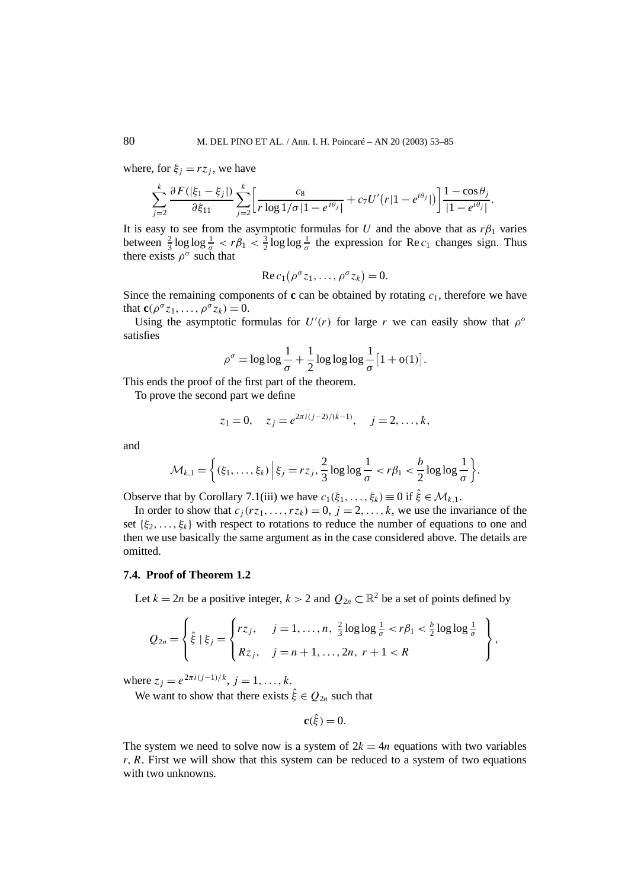where, for  $\xi_i = rz_i$ , we have

$$
\sum_{j=2}^{k} \frac{\partial F(|\xi_1 - \xi_j|)}{\partial \xi_{11}} \sum_{j=2}^{k} \left[ \frac{c_8}{r \log 1/\sigma |1 - e^{i\theta_j}|} + c_7 U'(r |1 - e^{i\theta_j}|) \right] \frac{1 - \cos \theta_j}{|1 - e^{i\theta_j}|}
$$

*.*

It is easy to see from the asymptotic formulas for *U* and the above that as  $r\beta_1$  varies between  $\frac{2}{3} \log \log \frac{1}{\sigma} < r\beta_1 < \frac{3}{2} \log \log \frac{1}{\sigma}$  the expression for Re  $c_1$  changes sign. Thus there exists  $\rho^{\sigma}$  such that

$$
\operatorname{Re} c_1(\rho^{\sigma} z_1,\ldots,\rho^{\sigma} z_k)=0.
$$

Since the remaining components of **c** can be obtained by rotating  $c_1$ , therefore we have that  $\mathbf{c}(\rho^{\sigma}z_1,\ldots,\rho^{\sigma}z_k)=0.$ 

Using the asymptotic formulas for  $U'(r)$  for large *r* we can easily show that  $\rho^{\sigma}$ satisfies

$$
\rho^{\sigma} = \log \log \frac{1}{\sigma} + \frac{1}{2} \log \log \log \frac{1}{\sigma} [1 + o(1)].
$$

This ends the proof of the first part of the theorem.

To prove the second part we define

$$
z_1 = 0
$$
,  $z_j = e^{2\pi i (j-2)/(k-1)}$ ,  $j = 2, ..., k$ ,

and

$$
\mathcal{M}_{k,1} = \left\{ (\xi_1,\ldots,\xi_k) \, \Big| \, \xi_j = r z_j, \frac{2}{3} \log \log \frac{1}{\sigma} < r \beta_1 < \frac{b}{2} \log \log \frac{1}{\sigma} \right\}.
$$

Observe that by Corollary 7.1(iii) we have  $c_1(\xi_1,\ldots,\xi_k) \equiv 0$  if  $\hat{\xi} \in \mathcal{M}_{k,1}$ .

In order to show that  $c_j(rz_1,\ldots,rz_k) = 0$ ,  $j = 2,\ldots,k$ , we use the invariance of the set  $\{\xi_2, \ldots, \xi_k\}$  with respect to rotations to reduce the number of equations to one and then we use basically the same argument as in the case considered above. The details are omitted.

### **7.4. Proof of Theorem 1.2**

Let  $k = 2n$  be a positive integer,  $k > 2$  and  $Q_{2n} \subset \mathbb{R}^2$  be a set of points defined by

$$
Q_{2n} = \left\{ \hat{\xi} \mid \xi_j = \begin{cases} r_{\mathcal{Z}_j}, & j = 1, ..., n, \frac{2}{3} \log \log \frac{1}{\sigma} < r\beta_1 < \frac{b}{2} \log \log \frac{1}{\sigma} \\ R_{\mathcal{Z}_j}, & j = n+1, ..., 2n, r+1 < R \end{cases} \right\},\,
$$

where  $z_j = e^{2\pi i (j-1)/k}$ ,  $j = 1, ..., k$ .

We want to show that there exists  $\hat{\xi} \in Q_{2n}$  such that

$$
\mathbf{c}(\hat{\xi}) = 0.
$$

The system we need to solve now is a system of  $2k = 4n$  equations with two variables *r, R*. First we will show that this system can be reduced to a system of two equations with two unknowns.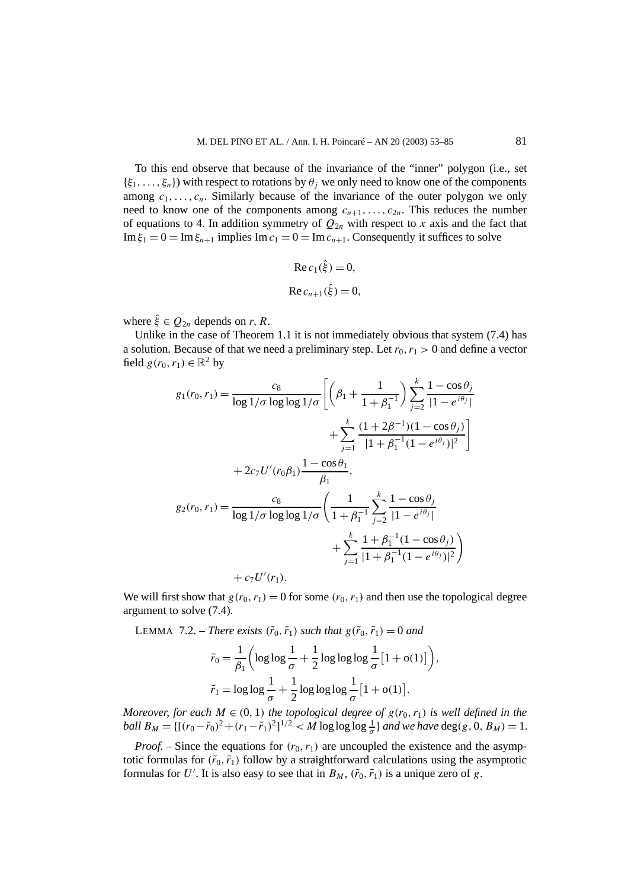To this end observe that because of the invariance of the "inner" polygon (i.e., set  $\{\xi_1,\ldots,\xi_n\}$ ) with respect to rotations by  $\theta_i$  we only need to know one of the components among  $c_1, \ldots, c_n$ . Similarly because of the invariance of the outer polygon we only need to know one of the components among  $c_{n+1}, \ldots, c_{2n}$ . This reduces the number of equations to 4. In addition symmetry of  $Q_{2n}$  with respect to x axis and the fact that Im  $\xi_1 = 0 = \text{Im} \xi_{n+1}$  implies Im  $c_1 = 0 = \text{Im} c_{n+1}$ . Consequently it suffices to solve

Re 
$$
c_1(\hat{\xi}) = 0
$$
,  
Re  $c_{n+1}(\hat{\xi}) = 0$ ,

where  $\hat{\xi} \in Q_{2n}$  depends on *r*, *R*.

Unlike in the case of Theorem 1.1 it is not immediately obvious that system (7.4) has a solution. Because of that we need a preliminary step. Let  $r_0, r_1 > 0$  and define a vector field  $g(r_0, r_1) \in \mathbb{R}^2$  by

$$
g_1(r_0, r_1) = \frac{c_8}{\log 1/\sigma \log \log 1/\sigma} \left[ \left( \beta_1 + \frac{1}{1 + \beta_1^{-1}} \right) \sum_{j=2}^k \frac{1 - \cos \theta_j}{|1 - e^{i\theta_j}|} + \sum_{j=1}^k \frac{(1 + 2\beta^{-1})(1 - \cos \theta_j)}{|1 + \beta_1^{-1}(1 - e^{i\theta_j})|^2} \right] + 2c_7 U'(r_0 \beta_1) \frac{1 - \cos \theta_1}{\beta_1},
$$
  

$$
g_2(r_0, r_1) = \frac{c_8}{\log 1/\sigma \log \log 1/\sigma} \left( \frac{1}{1 + \beta_1^{-1}} \sum_{j=2}^k \frac{1 - \cos \theta_j}{|1 - e^{i\theta_j}|} + \sum_{j=1}^k \frac{1 + \beta_1^{-1}(1 - \cos \theta_j)}{|1 + \beta_1^{-1}(1 - e^{i\theta_j})|^2} \right) + c_7 U'(r_1).
$$

We will first show that  $g(r_0, r_1) = 0$  for some  $(r_0, r_1)$  and then use the topological degree argument to solve (7.4).

LEMMA 7.2. – *There exists*  $(\tilde{r}_0, \tilde{r}_1)$  *such that*  $g(\tilde{r}_0, \tilde{r}_1) = 0$  *and* 

$$
\tilde{r}_0 = \frac{1}{\beta_1} \left( \log \log \frac{1}{\sigma} + \frac{1}{2} \log \log \log \frac{1}{\sigma} \left[ 1 + o(1) \right] \right),
$$
  

$$
\tilde{r}_1 = \log \log \frac{1}{\sigma} + \frac{1}{2} \log \log \log \frac{1}{\sigma} \left[ 1 + o(1) \right].
$$

*Moreover, for each*  $M \in (0, 1)$  *the topological degree of*  $g(r_0, r_1)$  *is well defined in the ball*  $B_M = \{[(r_0 - \tilde{r}_0)^2 + (r_1 - \tilde{r}_1)^2]^{1/2}$   $\lt M$  log log log  $\frac{1}{\sigma}$  } *and we have* deg(*g*, 0*, B<sub>M</sub>*) = 1*.* 

*Proof.* – Since the equations for  $(r_0, r_1)$  are uncoupled the existence and the asymptotic formulas for  $(\tilde{r}_0, \tilde{r}_1)$  follow by a straightforward calculations using the asymptotic formulas for U'. It is also easy to see that in  $B_M$ ,  $(\tilde{r}_0, \tilde{r}_1)$  is a unique zero of g.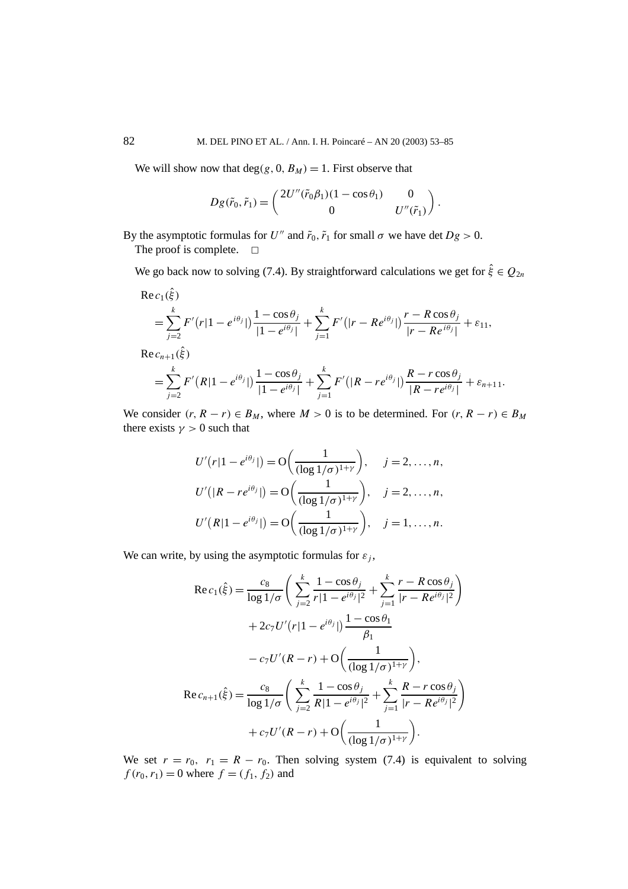We will show now that  $deg(g, 0, B_M) = 1$ . First observe that

$$
Dg(\tilde{r}_0, \tilde{r}_1) = \begin{pmatrix} 2U''(\tilde{r}_0\beta_1)(1-\cos\theta_1) & 0 \\ 0 & U''(\tilde{r}_1) \end{pmatrix}.
$$

By the asymptotic formulas for *U*<sup>*n*</sup> and  $\tilde{r}_0$ ,  $\tilde{r}_1$  for small  $\sigma$  we have det  $Dg > 0$ .

The proof is complete.  $\Box$ 

We go back now to solving (7.4). By straightforward calculations we get for  $\hat{\xi} \in Q_{2n}$ 

$$
\begin{split} &\text{Re}\,c_{1}(\hat{\xi})\\ &= \sum_{j=2}^{k} F'(r|1-e^{i\theta_{j}}|) \frac{1-\cos\theta_{j}}{|1-e^{i\theta_{j}}|} + \sum_{j=1}^{k} F'(|r-Re^{i\theta_{j}}|) \frac{r-R\cos\theta_{j}}{|r-Re^{i\theta_{j}}|} + \varepsilon_{11},\\ &\text{Re}\,c_{n+1}(\hat{\xi})\\ &= \sum_{j=2}^{k} F'(R|1-e^{i\theta_{j}}|) \frac{1-\cos\theta_{j}}{|1-e^{i\theta_{j}}|} + \sum_{j=1}^{k} F'(|R-re^{i\theta_{j}}|) \frac{R-r\cos\theta_{j}}{|R-re^{i\theta_{j}}|} + \varepsilon_{n+11}. \end{split}
$$

We consider  $(r, R - r) \in B_M$ , where  $M > 0$  is to be determined. For  $(r, R - r) \in B_M$ there exists  $\gamma > 0$  such that

$$
U'(r|1 - e^{i\theta_j}|) = O\left(\frac{1}{(\log 1/\sigma)^{1+\gamma}}\right), \quad j = 2, \dots, n,
$$
  

$$
U'(R - re^{i\theta_j}|) = O\left(\frac{1}{(\log 1/\sigma)^{1+\gamma}}\right), \quad j = 2, \dots, n,
$$
  

$$
U'(R|1 - e^{i\theta_j}|) = O\left(\frac{1}{(\log 1/\sigma)^{1+\gamma}}\right), \quad j = 1, \dots, n.
$$

We can write, by using the asymptotic formulas for  $\varepsilon_i$ ,

$$
\operatorname{Re} c_1(\hat{\xi}) = \frac{c_8}{\log 1/\sigma} \left( \sum_{j=2}^k \frac{1 - \cos \theta_j}{r |1 - e^{i\theta_j}|^2} + \sum_{j=1}^k \frac{r - R \cos \theta_j}{|r - Re^{i\theta_j}|^2} \right) + 2c_7 U'(r |1 - e^{i\theta_j}|) \frac{1 - \cos \theta_1}{\beta_1} - c_7 U'(R - r) + O\left(\frac{1}{(\log 1/\sigma)^{1+\gamma}}\right), \n\operatorname{Re} c_{n+1}(\hat{\xi}) = \frac{c_8}{\log 1/\sigma} \left( \sum_{j=2}^k \frac{1 - \cos \theta_j}{R |1 - e^{i\theta_j}|^2} + \sum_{j=1}^k \frac{R - r \cos \theta_j}{|r - Re^{i\theta_j}|^2} \right) + c_7 U'(R - r) + O\left(\frac{1}{(\log 1/\sigma)^{1+\gamma}}\right).
$$

We set  $r = r_0$ ,  $r_1 = R - r_0$ . Then solving system (7.4) is equivalent to solving  $f(r_0, r_1) = 0$  where  $f = (f_1, f_2)$  and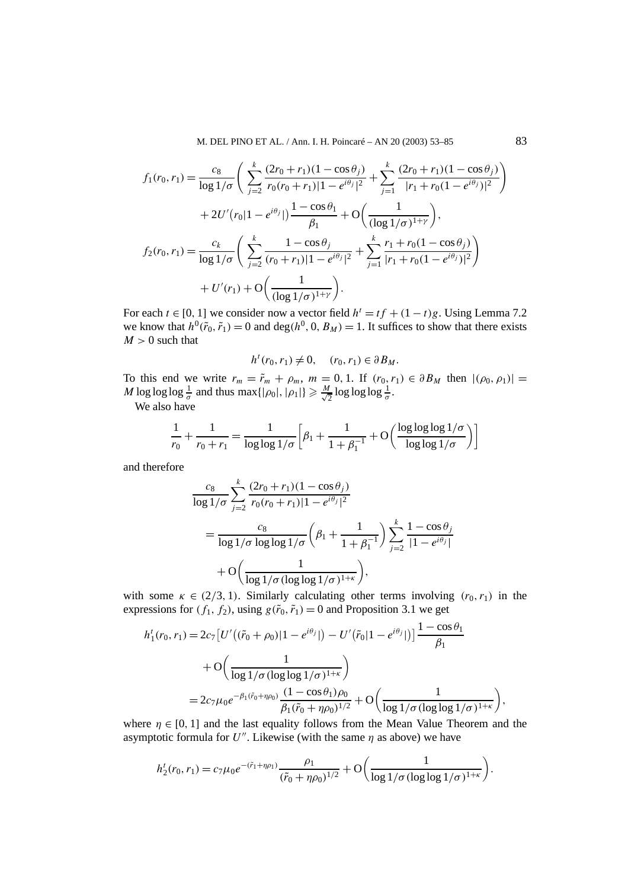M. DEL PINO ET AL. / Ann. I. H. Poincaré – AN 20 (2003) 53–85 83

$$
f_1(r_0, r_1) = \frac{c_8}{\log 1/\sigma} \left( \sum_{j=2}^k \frac{(2r_0 + r_1)(1 - \cos \theta_j)}{r_0(r_0 + r_1)|1 - e^{i\theta_j}|^2} + \sum_{j=1}^k \frac{(2r_0 + r_1)(1 - \cos \theta_j)}{|r_1 + r_0(1 - e^{i\theta_j})|^2} \right)
$$
  
+ 
$$
2U'(r_0|1 - e^{i\theta_j}|) \frac{1 - \cos \theta_1}{\beta_1} + O\left(\frac{1}{(\log 1/\sigma)^{1+\gamma}}\right),
$$
  

$$
f_2(r_0, r_1) = \frac{c_k}{\log 1/\sigma} \left( \sum_{j=2}^k \frac{1 - \cos \theta_j}{(r_0 + r_1)|1 - e^{i\theta_j}|^2} + \sum_{j=1}^k \frac{r_1 + r_0(1 - \cos \theta_j)}{|r_1 + r_0(1 - e^{i\theta_j})|^2} \right)
$$
  
+ 
$$
U'(r_1) + O\left(\frac{1}{(\log 1/\sigma)^{1+\gamma}}\right).
$$

For each  $t \in [0, 1]$  we consider now a vector field  $h^t = tf + (1 - t)g$ . Using Lemma 7.2 we know that  $h^0(\tilde{r}_0, \tilde{r}_1) = 0$  and deg $(h^0, 0, B_M) = 1$ . It suffices to show that there exists  $M > 0$  such that

$$
h^t(r_0, r_1) \neq 0, \quad (r_0, r_1) \in \partial B_M.
$$

To this end we write  $r_m = \tilde{r}_m + \rho_m$ ,  $m = 0, 1$ . If  $(r_0, r_1) \in \partial B_M$  then  $|(\rho_0, \rho_1)| =$ *M* log log  $\log \frac{1}{\sigma}$  and thus max $\{|\rho_0|, |\rho_1|\} \geq \frac{M}{\sqrt{2}} \log \log \log \frac{1}{\sigma}$ .

We also have

$$
\frac{1}{r_0} + \frac{1}{r_0 + r_1} = \frac{1}{\log \log 1/\sigma} \left[ \beta_1 + \frac{1}{1 + \beta_1^{-1}} + O\left(\frac{\log \log \log 1/\sigma}{\log \log 1/\sigma}\right) \right]
$$

and therefore

$$
\frac{c_8}{\log 1/\sigma} \sum_{j=2}^k \frac{(2r_0 + r_1)(1 - \cos \theta_j)}{r_0(r_0 + r_1)|1 - e^{i\theta_j}|^2}
$$
\n
$$
= \frac{c_8}{\log 1/\sigma \log \log 1/\sigma} \left(\beta_1 + \frac{1}{1 + \beta_1^{-1}}\right) \sum_{j=2}^k \frac{1 - \cos \theta_j}{|1 - e^{i\theta_j}|}
$$
\n
$$
+ O\left(\frac{1}{\log 1/\sigma (\log \log 1/\sigma)^{1+\kappa}}\right),
$$

with some  $\kappa \in (2/3, 1)$ . Similarly calculating other terms involving  $(r_0, r_1)$  in the expressions for  $(f_1, f_2)$ , using  $g(\tilde{r}_0, \tilde{r}_1) = 0$  and Proposition 3.1 we get

$$
h'_1(r_0, r_1) = 2c_7 \left[ U'((\tilde{r}_0 + \rho_0)|1 - e^{i\theta_j}|) - U'(\tilde{r}_0|1 - e^{i\theta_j}|) \right] \frac{1 - \cos \theta_1}{\beta_1}
$$
  
+ 
$$
O\left(\frac{1}{\log 1/\sigma (\log \log 1/\sigma)^{1+\kappa}}\right)
$$
  
= 
$$
2c_7 \mu_0 e^{-\beta_1(\tilde{r}_0 + \eta \rho_0)} \frac{(1 - \cos \theta_1)\rho_0}{\beta_1(\tilde{r}_0 + \eta \rho_0)^{1/2}} + O\left(\frac{1}{\log 1/\sigma (\log \log 1/\sigma)^{1+\kappa}}\right),
$$

where  $\eta \in [0, 1]$  and the last equality follows from the Mean Value Theorem and the asymptotic formula for  $U''$ . Likewise (with the same  $\eta$  as above) we have

$$
h_2^t(r_0, r_1) = c_7 \mu_0 e^{-(\tilde{r}_1 + \eta \rho_1)} \frac{\rho_1}{(\tilde{r}_0 + \eta \rho_0)^{1/2}} + \mathcal{O}\left(\frac{1}{\log 1/\sigma (\log \log 1/\sigma)^{1+\kappa}}\right).
$$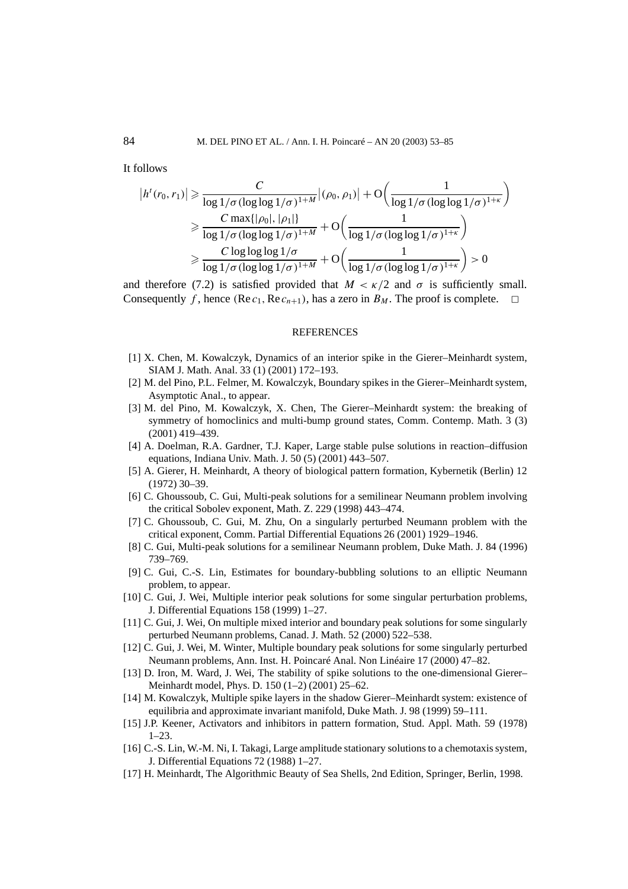It follows

$$
|h^{t}(r_{0},r_{1})| \geq \frac{C}{\log 1/\sigma (\log \log 1/\sigma)^{1+M}}|(\rho_{0},\rho_{1})| + O\left(\frac{1}{\log 1/\sigma (\log \log 1/\sigma)^{1+\kappa}}\right)
$$
  

$$
\geq \frac{C \max\{|\rho_{0}|, |\rho_{1}|\}}{\log 1/\sigma (\log \log 1/\sigma)^{1+M}} + O\left(\frac{1}{\log 1/\sigma (\log \log 1/\sigma)^{1+\kappa}}\right)
$$
  

$$
\geq \frac{C \log \log \log 1/\sigma}{\log 1/\sigma (\log \log 1/\sigma)^{1+M}} + O\left(\frac{1}{\log 1/\sigma (\log \log 1/\sigma)^{1+\kappa}}\right) > 0
$$

and therefore (7.2) is satisfied provided that  $M < \kappa/2$  and  $\sigma$  is sufficiently small. Consequently *f*, hence  $(\text{Re } c_1, \text{Re } c_{n+1})$ , has a zero in  $B_M$ . The proof is complete.  $\Box$ 

#### **REFERENCES**

- [1] X. Chen, M. Kowalczyk, Dynamics of an interior spike in the Gierer–Meinhardt system, SIAM J. Math. Anal. 33 (1) (2001) 172–193.
- [2] M. del Pino, P.L. Felmer, M. Kowalczyk, Boundary spikes in the Gierer–Meinhardt system, Asymptotic Anal., to appear.
- [3] M. del Pino, M. Kowalczyk, X. Chen, The Gierer–Meinhardt system: the breaking of symmetry of homoclinics and multi-bump ground states, Comm. Contemp. Math. 3 (3) (2001) 419–439.
- [4] A. Doelman, R.A. Gardner, T.J. Kaper, Large stable pulse solutions in reaction–diffusion equations, Indiana Univ. Math. J. 50 (5) (2001) 443–507.
- [5] A. Gierer, H. Meinhardt, A theory of biological pattern formation, Kybernetik (Berlin) 12 (1972) 30–39.
- [6] C. Ghoussoub, C. Gui, Multi-peak solutions for a semilinear Neumann problem involving the critical Sobolev exponent, Math. Z. 229 (1998) 443–474.
- [7] C. Ghoussoub, C. Gui, M. Zhu, On a singularly perturbed Neumann problem with the critical exponent, Comm. Partial Differential Equations 26 (2001) 1929–1946.
- [8] C. Gui, Multi-peak solutions for a semilinear Neumann problem, Duke Math. J. 84 (1996) 739–769.
- [9] C. Gui, C.-S. Lin, Estimates for boundary-bubbling solutions to an elliptic Neumann problem, to appear.
- [10] C. Gui, J. Wei, Multiple interior peak solutions for some singular perturbation problems, J. Differential Equations 158 (1999) 1–27.
- [11] C. Gui, J. Wei, On multiple mixed interior and boundary peak solutions for some singularly perturbed Neumann problems, Canad. J. Math. 52 (2000) 522–538.
- [12] C. Gui, J. Wei, M. Winter, Multiple boundary peak solutions for some singularly perturbed Neumann problems, Ann. Inst. H. Poincaré Anal. Non Linéaire 17 (2000) 47–82.
- [13] D. Iron, M. Ward, J. Wei, The stability of spike solutions to the one-dimensional Gierer– Meinhardt model, Phys. D. 150 (1–2) (2001) 25–62.
- [14] M. Kowalczyk, Multiple spike layers in the shadow Gierer–Meinhardt system: existence of equilibria and approximate invariant manifold, Duke Math. J. 98 (1999) 59–111.
- [15] J.P. Keener, Activators and inhibitors in pattern formation, Stud. Appl. Math. 59 (1978) 1–23.
- [16] C.-S. Lin, W.-M. Ni, I. Takagi, Large amplitude stationary solutions to a chemotaxis system, J. Differential Equations 72 (1988) 1–27.
- [17] H. Meinhardt, The Algorithmic Beauty of Sea Shells, 2nd Edition, Springer, Berlin, 1998.